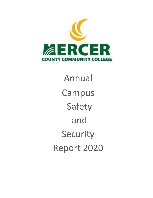

Annual Campus Safety and Security Report 2020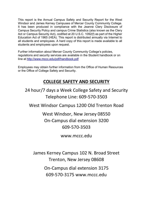This report is the Annual Campus Safety and Security Report for the West Windsor and James Kerney Campuses of Mercer County Community College. It has been produced in compliance with the Jeanne Clery Disclosure of Campus Security Policy and campus Crime Statistics (also known as the Clery Act or Campus Security Act), codified at 20 U.S.C. 1092(f) as part of the Higher Education Act of 1965 (HEA). This report is distributed annually via Internet to all students and employees. A hard copy of this report is made available to all students and employees upon request.

Further information about Mercer County Community College's policies, regulations and security services are available in the Student handbook or on line at<http://www.mccc.edu/pdf/handbook.pdf>

Employees may obtain further information from the Office of Human Resources or the Office of College Safety and Security.

# **COLLEGE SAFETY AND SECURITY**

24 hour/7 days a Week College Safety and Security Telephone Line: 609-570-3503

West Windsor Campus 1200 Old Trenton Road

West Windsor, New Jersey 08550 On-Campus dial extension 3200 609-570-3503

www.mccc.edu

James Kerney Campus 102 N. Broad Street Trenton, New Jersey 08608

> On-Campus dial extension 3175 609-570-3175 www.mccc.edu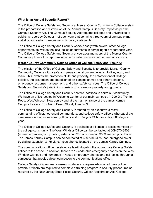# **What is an Annual Security Report?**

The Office of College Safety and Security at Mercer County Community College assists in the preparation and distribution of the Annual Campus Security Report as per the Campus Security Act. The Campus Security Act requires colleges and universities to publish a report by October 1 of each year that contains three years of campus crime statistics and certain campus security policy statements.

The Office of College Safety and Security works closely with several other college departments as well as the local police departments in compiling this report each year. The Office of College Safety and Security encourages members of the Mercer County Community to use this report as a guide for safe practices both on and off campus.

# **Mercer County Community College Office of College Safety and Security:**

The mission of the Office of College Safety and Security is to provide Mercer County Community College with a safe and pleasant environment in which to live, work, and learn. This involves the protection of life and property, the enforcement of College policies, the prevention and detection of on-campus crimes and other violations, emergency response management, and other safety services. The Office of College Safety and Security's jurisdiction consists of on campus property and grounds.

The Office of College Safety and Security has two locations to serve our community. We have an office located in Welcome Center of our main campus at 1200 Old Trenton Road, West Windsor, New Jersey and at the main entrance of the James Kerney Campus locate at 102 North Broad Street, Trenton NJ.

The Office of College Safety and Security is staffed by an executive director, commanding officer, lieutenant commanders, and college safety officers who patrol the campuses on foot, in vehicles, golf carts and on bicycle 24 hours a day, 365 days a year.

The Office of College Safety and Security is available at all times to assist members of the college community. The West Windsor Office can be contacted at 609-570-3503 (non-emergencies) or by dialing extension 3200 or extension 3503 via campus phone. The James Kerney Campus can be contacted at 609-570-3175 (non-emergencies) or by dialing extension 3175 via campus phones located on the James Kerney Campus.

The communications officer receiving calls will dispatch the appropriate College Safety Officer to the scene. In addition, there are 12 code-blue emergency phones on the West Windsor Campus and numerous in house emergency phones and call boxes through all campuses that provide direct connection to the communications officer.

College Safety Officers are non-sworn college employees who do not have police powers. Officers are required to complete a training program in security procedures as required by the New Jersey State Police Security Officer Registration Act. College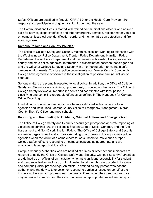Safety Officers are qualified in first aid, CPR-AED for the Health Care Provider, fire response and participate in ongoing training throughout the year.

The Communications Desk is staffed with trained communications officers who answer calls for service, dispatch officers and other emergency services, register motor vehicles on campus, issue college identification cards, and monitor intrusion detection and fire alarm systems.

# **Campus Policing and Security Policies:**

The Office of College Safety and Security maintains excellent working relationships with the West Windsor Police Department, Trenton Police Department, Hamilton Police Department, Ewing Police Department and the Lawrence Township Police, as well as county and state police agencies. Information is disseminated between these agencies and the Office of College Safety and Security in an on-going effort to maintain safe campus environments. The local police departments and Mercer County Community College have agreed to cooperate in the investigation of possible criminal activity or conduct.

Serious matters are promptly reported to local police. In addition, the Office of College Safety and Security assists victims, upon request, in contacting the police. The Office of College Safety reviews all reported incidents and coordinates with local police in classifying and compiling reportable offenses as defined in The Handbook for Campus Crime Reporting.

In addition, mutual aid agreements have been established with a variety of local agencies and institutions, Mercer County Office of Emergency Management, Mercer County Sheriff's Office, and area schools.

# **Reporting and Responding to Incidents, Criminal Actions and Emergencies:**

The Office of College Safety and Security encourages prompt and accurate reporting of violations of criminal law, the college's Student Code of Social Conduct, and the Anti-Harassment and Non-Discrimination Policy. The Office of College Safety and Security also encourages prompt and accurate reporting of all crimes to the appropriate police agencies when the victim of a crime elects to, or is unable to, make such a report. College Safety officers respond to on-campus locations as appropriate and are available to take reports at the office.

Campus Security Authorities who are notified of crimes or other serious incidents are required to notify the Office of College Safety and Security. Campus Security Authorities are defined as an official of an institution who has significant responsibility for student and campus activities, including, but not limited to, student housing, student discipline and campus judicial proceedings. An official is defined as any person who has the authority and the duty to take action or respond to particular issues on behalf of the institution. Pastoral and professional counselors, if and when they deem appropriate, may inform individuals whom they are counseling of appropriate procedures to report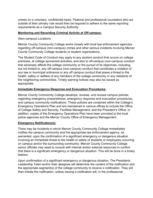crimes on a voluntary, confidential basis. Pastoral and professional counselors who act outside of their primary role would then be required to adhere to the same reporting requirements as a Campus Security Authority.

# **Monitoring and Recording Criminal Activity at Off-campus:**

(Non-campus) Locations

Mercer County Community College works closely with local law enforcement agencies regarding off-campus (non-campus) crimes and other serious incidents involving Mercer County Community College students or student organizations.

The Student Code of Conduct may apply to any student conduct that occurs on college premises, at college sponsored activities, and also to off-campus (non-campus) conduct that adversely affects the college community or the pursuit of its objectives, including, but not limited to, any off-campus (non-campus) conduct that constitutes a violation of any law or municipal ordinance or any off campus conduct that poses a threat to the health, safety or welfare of any members of the college community or any residents of the neighboring communities. Timely warning notices may also be issued as appropriate.

# **Immediate Emergency Response and Evacuation Procedures:**

Mercer County Community College develops, reviews, and revises campus policies regarding emergency preparedness, emergency response and evacuation procedures, and campus community notifications. These policies are contained within the College's Emergency Operations Plan and are maintained in various offices to include the Office of College Safety and Security, Facilities Management, and the President's Office. In addition, copies of the Emergency Operations Plan have been provided to the local police agencies and the Mercer County Office of Emergency Management.

# **Emergency Notification(s):**

There may be incidents in which Mercer County Community College immediately notifies the campus community and the appropriate law enforcement agency, as warranted, upon the confirmation of a significant emergency or dangerous situation involving an immediate threat to the health or safety of students or employees occurring on campus and/or the surrounding community. Mercer County Community College senior officials may need to consult with internal and/or external resources to confirm that there is a significant emergency or dangerous situation. This will be done in a timely fashion.

Upon confirmation of a significant emergency or dangerous situation, The Presidents Leadership Team and/or their designee will determine the content of the notification and the appropriate segment(s) of the college community to receive a notification. They will then initiate the notification, unless issuing a notification will, in the professional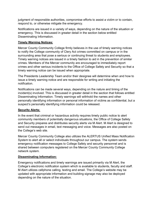judgment of responsible authorities, compromise efforts to assist a victim or to contain, respond to, or otherwise mitigate the emergency.

Notifications are issued in a variety of ways, depending on the nature of the situation or emergency. This is discussed in greater detail in the section below entitled Disseminating Information.

# **Timely Warning Notices:**

Mercer County Community College firmly believes in the use of timely warning notices to notify the College community of Clery Act crimes committed on campus or in the surrounding area that pose a serious or continuing threat to students and employees. Timely warning notices are issued in a timely fashion to aid in the prevention of similar crimes. Members of the Mercer community are encouraged to immediately report crimes and other serious incidents to the Office of College Safety and Security so that a timely warning notice can be issued when appropriate.

The Presidents Leadership Team and/or their designee will determine when and how to issue a timely warning notice and are responsible for writing and initiating the notification.

Notifications can be made several ways, depending on the nature and timing of the incident(s) involved. This is discussed in greater detail in the section that follows entitled Disseminating Information. Timely warnings will withhold the names and other personally identifying information or personal information of victims as confidential, but a suspect's personally identifying information could be released.

# **Security Alerts:**

In the event that criminal or hazardous activity requires timely public notice to alert community members of potentially dangerous situations, the Office of College Safety and Security prepares and distributes security alerts via M Alert. M Alert is designed to send out messages in email, text messaging and voice. Messages are also posted on the College's web site.

Mercer County Community College also utilizes the ALERTUS Unified Mass Notification System to alert all or select individuals throughout our campus. The system sends emergency notification messages to College Safety and security personnel and is shared between computers registered on the Mercer County Community College network system.

# **Disseminating Information:**

Emergency notifications and timely warnings are issued primarily via M Alert, the College's electronic notification system which is available to students, faculty and staff. M Alert utilizes cellphone calling, texting and email. The College's website may be updated with appropriate information and building signage may also be deployed depending on the nature of the situation.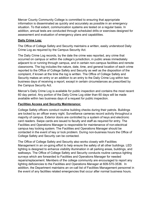Mercer County Community College is committed to ensuring that appropriate information is disseminated as quickly and accurately as possible in an emergency situation. To that extent, communication systems are tested on a regular basis. In addition, annual tests are conducted through scheduled drills or exercises designed for assessment and evaluation of emergency plans and capabilities.

# **Daily Crime Log:**

The Office of College Safety and Security maintains a written, easily understood Daily Crime Log as required by the Campus Security Act.

The Daily Crime Log records, by the date the crime was reported, any crime that occurred on campus or within the college's jurisdiction, in public areas immediately adjacent to or running through campus, and in certain non-campus facilities and remote classrooms. The log includes the nature, date, time, and general location of each crime reported to the Office of College Safety and Security as well as the disposition of the complaint, if known at the time the log is written. The Office of College Safety and Security makes an entry or an addition to an entry to the Daily Crime Log within two business days of receiving a report, except in certain circumstances as prescribed by the Campus Security Act.

Mercer's Daily Crime Log is available for public inspection and contains the most recent 60 day period. Any portion of the Daily Crime Log older than 60 days will be made available within two business days of a request for public inspection.

# **Facilities Access and Security Maintenance:**

College Safety officers conduct routine building checks during their patrols. Buildings are locked by an officer every night. Surveillance cameras record activity throughout a majority of campus. Exterior doors are controlled by a system of keys and electronic card readers. Swipe cards are issued to faculty and staff as required for entry. The Facilities and Operations Manager is responsible for maintenance of non-electrical campus key locking system. The Facilities and Operations Manager should be contacted in the event of key or lock problem. During non-business hours the Office of College Safety and Security can be contacted.

The Office of College Safety and Security also works closely with Facilities Management in an on-going effort to help ensure the safety of all other buildings. LED lighting is designed to enhance visibility illumination in all parking areas, buildings, and walkways. The Office of College Safety and Security conducts routine campus lighting surveys which are forwarded to Facilities and Operations Manager for needed repairs/replacement. Members of the college community are encouraged to report any lighting deficiencies to the Facilities and Operations Manager at 609-570-3536. In addition, the Department maintains an on-call list of Facilities Management personnel in the event of any facilities related emergencies that occur after normal business hours.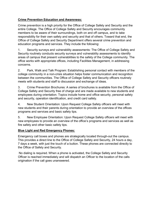# **Crime Prevention Education and Awareness:**

Crime prevention is a high priority for the Office of College Safety and Security and the entire College. The Office of College Safety and Security encourages community members to be aware of their surroundings, both on and off campus, and to take responsibility for their own safety and security and that of others. Toward that end, the Office of College Safety and Security Department offers several crime prevention and education programs and services. They include the following:

1. Security surveys and vulnerability assessments: The Office of College Safety and Security routinely conducts security surveys and vulnerability assessments to identify areas of campus that present vulnerabilities to the safety of the College community. The office works with appropriate offices, including Facilities Management, in addressing concerns.

2. Park, Walk and Talk Program: Establishing personal contact with members of the college community in a non-crisis situation helps foster communication and recognition between the communities. The Office of College Safety and Security officers routinely meets with students and staff to discussion and exchange of ideas.

3. Crime Prevention Brochures: A series of brochures is available from the Office of College Safety and Security free of charge and are made available to new students and employees during orientation. Topics include home and office security, personal safety and security, operation identification, and credit card safety.

4. New Student Orientation: Upon Request College Safety officers will meet with new students and their parents during orientation to provide an overview of the offices programs and services and basic safety tips.

5. New Employee Orientation: Upon Request College Safety officers will meet with new employees to provide an overview of the office's programs and services as well as fire safety and other basic safety tips.

# **Blue Light and Red Emergency Phones:**

Emergency call boxes and phones are strategically located through-out the campus. This provides a direct line to the Office of College Safety and Security, 24 hours a day, 7 days a week, with just the touch of a button. These phones are connected directly to the Office of Safety and Security.

No dialing is required. When a phone is activated, the College Safety and Security Officer is reached immediately and will dispatch an Officer to the location of the calls origination if the call goes unanswered.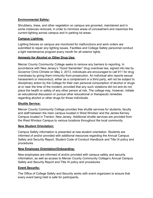# **Environmental Safety:**

Shrubbery, trees, and other vegetation on campus are groomed, maintained and in some instances removed, in order to minimize areas of concealment and maximize the current lighting across campus and in parking lot areas.

# **Campus Lighting:**

Lighting fixtures on campus are monitored for malfunctions and work orders are submitted to repair any lighting issues. Facilities and College Safety personnel conduct a light maintenance program every month for all exterior lights.

# **Amnesty for Alcohol or Other Drug Use:**

Mercer County Community College seeks to remove any barriers to reporting. In accordance with [New Jersey's "Good Samaritan" drug overdose law, s](http://www.ncsl.org/research/civil-and-criminal-justice/drug-overdose-immunity-good-samaritan-laws.aspx)igned into law by Governor Chris Christie on May 2, 2013, individuals are encouraged to call 911 for drug overdoses by giving them immunity from prosecution. An individual who reports sexual harassment or misconduct, either as a complainant or a third party, will not be subject to disciplinary action by the College for their own personal consumption of alcohol or drugs at or near the time of the incident, provided that any such violations did not and do not place the health or safety of any other person at risk. The college may, however, initiate an educational discussion or pursue other educational or therapeutic remedies regarding alcohol or other drugs for those individuals.

# **Shuttle Service:**

Mercer County Community College provides free shuttle services for students, faculty and staff between the main campus located in West Windsor and the James Kerney Campus located in Trenton, New Jersey. Additional shuttle services are provided from the West Windsor Campus to various locations throughout the local community.

# **New Student Orientation:**

Campus Safety information is presented at new student orientation. Students are informed of and/or provided with additional resources regarding the Annual Campus Safety and Security Report, Student Code of Conduct Handbook and Title IX policy and procedures.

# **New Employee Orientation/Onboarding:**

New employees are informed of and/or provided with campus safety and security information, as well as access to Mercer County Community College's Annual Campus Safety and Security Report and Title IX policy and procedures.

# **Event Security:**

The Office of College Safety and Security works with event organizers to ensure that every event being held is safe for participants.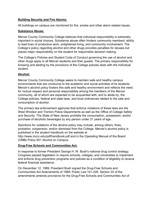# **Building Security and Fire Alarms:**

All buildings on campus are monitored for fire, smoke and other alarm related issues.

# **Substance Abuse:**

Mercer County Community College believes that individual responsibility is extremely important in social choices. Substance abuse often hinders community members' ability to lead lives of productive work, enlightened living, and community involvement. The College's policy regarding alcohol and other drugs provides penalties for abuses but places major responsibility on the student for responsible decision making.

The College's Policies and Student Code of Conduct governing the use of alcohol and other drugs apply to all Mercer students and their guests. The primary responsibility for knowing and abiding by the provisions of the College policies rests with the individual student.

# **Alcohol:**

Mercer County Community College seeks to maintain safe and healthy campus environments that are conducive to the academic and social activities of its students. Mercer's alcohol policy fosters this safe and healthy environment and reflects the need for mutual respect and personal responsibility among the members of the Mercer community, all of whom are expected to be acquainted with, and to abide by, the College policies, federal and state laws, and local ordinances related to the sale and consumption of alcohol.

The primary law enforcement agencies that enforce violations of these laws are the West Windsor and Trenton Police Departments as well as the Office of College Safety and Security. The State of New Jersey prohibits the consumption, possession, and/or purchase of alcoholic beverages by any person under 21 years of age.

Sanctions for violations of the alcohol policy may include, among others, fines, probation, suspension, and/or dismissal from the College. Mercer's alcohol policy is published in the student handbook on the website at

http://www.mccc.edu/pdf/handbook.pdf and in the Operating Manual of the Board (OMB) Policy 651 Alcohol on Campus.

# **Drug-Free Schools and Communities Act:**

In response to former President George H. W. Bush's national drug control strategy, Congress passed legislation to require schools, colleges, and universities to implement and enforce drug prevention programs and policies as a condition of eligibility to receive federal financial assistance.

On December 12, 1989, President Bush signed the Drug-Free Schools and Communities Act Amendments of 1989- Public Law 101-226. Section 22 of the amendments amends provisions for the Drug-Free Schools and Communities Act of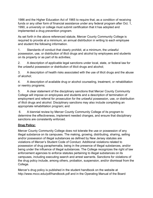1986 and the Higher Education Act of 1965 to require that, as a condition of receiving funds or any other form of financial assistance under any federal program after Oct. 1, 1990, a university or college must submit certification that it has adopted and implemented a drug prevention program.

As set forth in the above referenced statute, Mercer County Community College is required to provide at a minimum, an annual distribution in writing to each employee and student the following information.

1. Standards of conduct that clearly prohibit, at a minimum, the unlawful possession, use, or distribution of illicit drugs and alcohol by employees and students on its property or as part of its activities;

2. A description of applicable legal sanctions under local, state, or federal law for the unlawful possession or distribution of illicit drugs and alcohol;

3. A description of health risks associated with the use of illicit drugs and the abuse of alcohol;

4. A description of available drug or alcohol counseling, treatment, or rehabilitation or reentry programs;

5. A clear statement of the disciplinary sanctions that Mercer County Community College will impose on employees and students and a description of termination of employment and referral for prosecution for the unlawful possession, use, or distribution of illicit drugs and alcohol. Disciplinary sanctions may also include completing an appropriate rehabilitation program; and

6. A biennial review by Mercer County Community College of its program to determine the effectiveness, implement needed changes, and ensure that disciplinary sanctions are consistently enforced.

# **Drug Policy:**

Mercer County Community College does not tolerate the use or possession of any illegal substance on its campuses. The making, growing, distributing, sharing, selling and/or possession of illegal substances as defined by New Jersey statutes are violations of Mercer's Student Code of Conduct. Additional violations related to possession of drug paraphernalia, being in the presence of illegal substances, and/or being under the influence of illegal substances. The College recognizes the right of law enforcement agencies to enforce statutes pertaining to illegal substances on its campuses, including executing search and arrest warrants. Sanctions for violations of the drug policy include, among others, probation, suspension, and/or dismissal from the College.

Mercer's drug policy is published in the student handbook on the website at http://www.mccc.edu/pdf/handbook.pdf and in the Operating Manual of the Board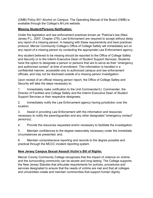(OMB) Policy 651 Alcohol on Campus. The Operating Manual of the Board (OMB) is available through the College's M-Link website.

# **Missing Student/Persons Notification:**

Under the legislation and law enforcement practices known as "Patricia's law (New Jersey P.L. 2007, Chapter 279), Law Enforcement are required to accept without delay any report of a missing person. In keeping with these requirements and best practices protocol, Mercer Community College's Office of College Safety will immediately act on any report of a missing person by contacting the appropriate Law Enforcement agency.

Any student believed to be missing should be reported to the Office of College Safety and Security or to the Interim Executive Dean of Student Support Services. Students have the option to designate a person or persons that are to serve as their "emergency and authorized contact" at time of enrollment. This information is handled in a confidential manner, accessible only to authorized campus and law enforcement officials, and may not be disclosed outside of a missing person investigation.

Upon receipt of an official missing person report, the Office of College Safety and Security will take the steps necessary to:

1. Immediately make notification to the Unit Commander/Lt. Commander, the Director of Facilities and College Safety and the Interim Executive Dean of Student Support Services or their respective designees;

2. Immediately notify the Law Enforcement agency having jurisdiction over the location;

3. Assist in providing Law Enforcement with the information and resources necessary to notify the parent/guardian and any other designated "emergency contact" person(s);

4. Provide the resources requested and/or necessary to facilitate the investigation;

5. Maintain confidences to the degree reasonably necessary under the immediate circumstances as presented; and,

6. Maintain comprehensive reporting and records to the degree possible and practical through the MCCC incident reporting system.

# **New Jersey Campus Sexual Assault Victim's Bill of Rights:**

Mercer County Community College recognizes that the impact of violence on victims and the surrounding community can be severe and long lasting. The College supports the New Jersey Statutes that articulate requirements for policies, procedures and services designated to ensure that the needs of victims are met and that all colleges and universities create and maintain communities that support human dignity.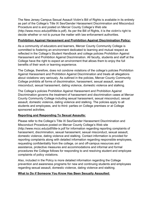The New Jersey Campus Sexual Assault Victim's Bill of Rights is available in its entirety as part of the College's Title IX Sex/Gender Harassment Discrimination and Misconduct Procedure and is and posted on Mercer County College's Web site (http://www.mccc.edu/pdf/title-ix.pdf). As per the Bill of Rights, it is the victim's right to decide whether or not to pursue the matter with law enforcement authorities.

# **Prohibition Against Harassment and Prohibition Against Discrimination Policy:**

As a community of educators and learners, Mercer County Community College is committed to fostering an environment dedicated to learning and mutual respect as reflected in the College's Student Handbook and college policies Prohibition Against Harassment and Prohibition Against Discrimination. All faculty, students and staff at the College have the right to expect an environment that allows them to enjoy the full benefits of their work or learning experience.

The College, therefore, does not condone violations of the college's policies Prohibition Against Harassment and Prohibition Against Discrimination and treats all allegations about violations very seriously. As outlined in the policies, Mercer County Community College prohibits all forms of discrimination, harassment, sexual assault, sexual misconduct, sexual harassment, dating violence, domestic violence and stalking.

The College's policies Prohibition Against Harassment and Prohibition Against Discrimination governs the treatment of harassment and discrimination cases at Mercer County Community College including sexual harassment, sexual misconduct, sexual assault, domestic violence, dating violence and stalking. The policies apply to all students and employees, and to third- parties on College premises or at College sponsored activities.

# **Reporting and Responding To Sexual Assaults:**

Please refer to the College's Title IX Sex/Gender Harassment Discrimination and Misconduct Procedure posted on Mercer County College's Web site (http://www.mccc.edu/pdf/title-ix.pdf for information regarding reporting complaints of harassment, discrimination, sexual harassment, sexual misconduct, sexual assault, domestic violence, dating violence and stalking. Contact information is provided for reporting complaints along with detailed information regarding responsible employees, requesting confidentiality from the college, on and off-campus resources and assistance, protective measures and accommodations and informal and formal procedures the College follows for responding to and resolving student and employee complaints of policy violations.

Also, included in the Policy is more detailed information regarding the College prevention and awareness programs for new and continuing students and employees regarding sexual assault, domestic violence, dating violence and stalking.

# **What to Do if Someone You Know Has Been Sexually Assaulted:**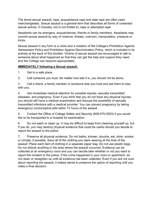The terms sexual assault, rape, acquaintance rape and date rape are often used interchangeably. Sexual assault is a general term that describes all forms of unwanted sexual activity. It includes, but is not limited to, rape or attempted rape.

Assailants can be strangers, acquaintances, friends or family members. Assailants may commit sexual assault by way of violence, threats, coercion, manipulation, pressure or tricks.

Sexual assault in any form is a crime and a violation of the College's Prohibition Against Harassment Policy and Prohibition Against Discrimination Policy, which is included in its entirety at the back of this booklet. Victims of sexual assault are encouraged to talk to someone about what happened so that they can get the help and support they need and the College can respond appropriately.

# **IMMEDIATELY following a Sexual assault:**

1. Get to a safe place.

2. Call someone you trust. No matter how late it is, you should not be alone.

3. Call a friend, a family member or someone else you trust and ask them to stay with you.

4. Get immediate medical attention for possible injuries, sexually transmitted diseases, and pregnancy. Even if you think that you do not have any physical injuries, you should still have a medical examination and discuss the possibility of sexually transmitted infections with a medical provider. You can prevent pregnancy by taking emergency contraceptive pills within 72 hours of the assault.

5. Contact the Office of College Safety and Security (609-570-3503) if you would like to be transported to a hospital for examination.

6. Do not wash or clean up. It may be difficult to keep from cleaning yourself up, but if you do, you may destroy physical evidence that could be useful should you decide to report the assault to the police.

7. Preserve all physical evidence. Do not bathe, shower, douche, eat, drink, smoke, or urinate, if possible. Save all of the clothing you were wearing at the time of the assault. Place each item of clothing in a separate paper bag. Do not use plastic bags. Do not disturb anything in the area where the assault occurred. Evidence can be collected at an emergency room and you can decide later whether or not you want to report the incident to the police. If the crime happened in your room or apartment, do not clean or straighten up until all evidence has been collected. Even if you are not sure about reporting the assault, it makes sense to preserve the option of reporting until you make a final decision.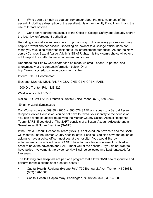8. Write down as much as you can remember about the circumstances of the assault, including a description of the assailant, his or her identity if you know it, and the use of threats or force.

9. Consider reporting the assault to the Office of College Safety and Security and/or the local law enforcement authorities.

Reporting a sexual assault may be an important step in the recovery process and may help to prevent another assault. Reporting an incident to a College official does not mean you must also report the incident to law enforcement authorities. As per the New Jersey Campus Sexual Assault Victim's Bill of Rights, it is the victim's choice whether or not to report the matter to law enforcement authorities.

Reports to the Title IX Coordinator can be made via email, phone, in person, and anonymously at the contact information below. Or at http://www.mccc.edu/communication\_form.shtml

Interim Title IX Coordinator:

Elizabeth Mizerek, MSN, RN, FN-CSA, CNE, CEN, CPEN, FAEN

1200 Old Trenton Rd. – MS 125

West Windsor, NJ 08550

Mail to: PO Box 17202, Trenton NJ 08690 Voice Phone: (609) 570-3556

Email: mizerekl@mccc.edu

Call Womanspace at 609-394-9000 or 800-572-SAFE and speak to a Sexual Assault Support Service Counselor. You do not have to reveal your identity to the counselor. You can ask the counselor to activate the Mercer County Sexual Assault Response Team (SART) if you desire. The SART consists of a Sexual Assault Advocate and a Sexual Assault Nurse Examiner (SANE).

If the Sexual Assault Response Team (SART) is activated, an Advocate and the SANE will meet you at the Mercer County hospital of your choice. You also have the option of asking to have a police officer meet you at the hospital if you would like law enforcement to be notified. You DO NOT have to have law enforcement involved in order to have the advocate and SANE meet you at the hospital. If you do not want to have police involvement, the evidence kit will still be collected and kept, untested, for five years.

The following area hospitals are part of a program that allows SANEs to respond to and perform forensic exams after a sexual assault:

- Capital Health, Regional (Helene Fuld) 750 Brunswick Ave., Trenton NJ 08638; (609) 896-6000
- Capital Health 1 Capital Way, Pennington, NJ 08534; (609) 303-4000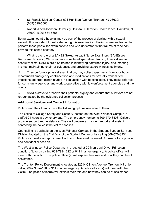- St. Francis Medical Center 601 Hamilton Avenue, Trenton, NJ 08629; (609) 599-5000
- Robert Wood Johnson University Hospital 1 Hamilton Health Place, Hamilton, NJ 08690; (609) 584-6666

Being examined at a hospital may be part of the process of dealing with a sexual assault. It is important to feel safe during this examination. Having someone trained to perform these particular examinations and who understands the trauma of rape can provide this sense of safety.

1. What is the role of a SANE? Sexual Assault Nurse Examiners (SANE) are Registered Nurses (RNs) who have completed specialized training to assist sexual assault victims. SANEs are also trained in identifying patterned injury, documenting injuries, maintaining chain-of-evidence, and providing expert witness testimony.

2. They perform a physical examination, may collect specimens from your body, recommend emergency contraception and medications for sexually transmitted infections and treat minor injuries in conjunction with hospital staff. They make referrals for community agencies and work cooperatively with law enforcement agencies and the courts.

3. SANEs strive to preserve their patients' dignity and ensure that survivors are not retraumatized by the evidence collection process.

# **Additional Services and Contact Information:**

Victims and their friends have the following options available to them:

The Office of College Safety and Security located on the West Windsor Campus is staffed 24 hours a day, every day. The emergency number is 609-570-3503. Officers provide support and assistance. They will prepare an incident report and assist in contacting the police if the victim chooses.

Counseling is available on the West Windsor Campus in the Student Support Services Division located on the 2nd floor of the Student Center or by calling 609-570-3354. Victims can make an appointment with a Professional Licensed Counselor for a private and confidential session.

The West Windsor Police Department is located at 20 Municipal Drive, Princeton Junction, NJ or by calling 609-799-1222 or 911 in an emergency. A police officer will meet with the victim. The police officer(s) will explain their role and how they can be of assistance.

The Trenton Police Department is located at 225 N Clinton Avenue, Trenton, NJ or by calling 609- 989-4170 or 911 in an emergency. A police officer(s) will meet with the victim. The police officer(s) will explain their role and how they can be of assistance.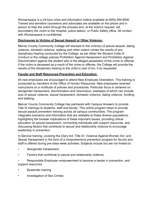Womanspace is a 24-hour crisis and information hotline available at (609) 394-9000. Trained and sensitive counselors and advocates are available on the phone and in person to help the victim through the process and, at the victim's request, will accompany the victim to the hospital, police station, or Public Safety office. All contact with Womanspace is confidential.

# **Disclosures to Victims of Sexual Assault or Other Violence:**

Mercer County Community College will disclose to the victim(s) of sexual assault, dating violence, domestic violence, stalking and other violent crimes the results of any disciplinary hearing conducted by the College, as per either the Student Code of Conduct or the college policies Prohibition Against Harassment and Prohibition Against Discrimination against the student who is the alleged perpetrator of the crime or offense. If the victim is deceased as a result of the crime or offense, the College will provide the results of the disciplinary hearing to the victim's next of kin, if so requested.

# **Faculty and Staff Resources-Prevention and Education:**

All new employees are encouraged to attend New Employee Orientation. This training is conducted by members of the Office of Human Resources. New employees received instructions on a multitude of policies and procedures. Particular focus is centered on sex/gender harassment, discrimination and misconduct, examples of which can include acts of sexual violence, sexual harassment, domestic violence, dating violence, fondling and stalking.

Mercer County Community College has partnered with Campus Answers to provide Title IX trainings to students, staff and faculty. This online program helps to provide sexual assault prevention training across all campus communities. The program integrates scenarios and information that are relatable to these diverse populations, highlighting the broader implications of these important issues, providing critical education on sexual harassment, connecting individuals with support resources, and discussing factors that contribute to sexual and relationship violence to encourage leadership in prevention.

In-Service training, covering the Clery Act, Title IX, Violence Against Women Act, and Sexual Harassment in the form of a comprehensive prevention program for faculty and staff is offered during pre-class week activities. Subjects include but are not limited to:

- Sex/gender harassment,
- Factors that contribute to sexual and relationship violence,
- Responsible Employee--empowerment to become a leader in prevention, and support resources
- Bystander training
- Investigation of Sex Crimes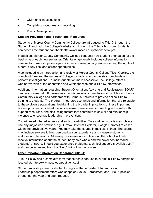- Civil rights investigations
- Complaint procedures and reporting
- Policy Development

# **Student Prevention and Educational Resources:**

Students at Mercer County Community College are introduced to Title IX through the Student Handbook, the College Website and through the Title IX brochure. Students can access the student handbook http://www.mccc.edu/pdf/handbook.pdf

In addition, Mercer County Community College conducts new student orientation, at the beginning of each new semester. Orientation generally includes college information, campus tour, workshops on topics such as choosing a program, respecting the rights of others, study tips, and career opportunities.

Also included is an introduction and review of Mercer County College Title IX policy, the complaint form and the names of College contacts who can receive complaints and perform investigations. To make orientation more accessible, the College offers a webinar version of the orientation and within the webinar is Title IX information.

Additional information regarding Student Orientation, Advising and Registration "SOAR" can be accessed at: http://www.mccc.edu/admissions\_orientation.shtml. Mercer County Community College has partnered with Campus Answers to provide online Title IX training to students. The program integrates scenarios and information that are relatable to these diverse populations, highlighting the broader implications of these important issues, providing critical education on sexual harassment, connecting individuals with support resources, and discussing factors that contribute to sexual and relationship violence to encourage leadership in prevention.

You will need Internet access and audio capabilities. To avoid technical issues, please use any major web browser (e.g., Firefox, Internet Explorer, Google Chrome) released within the previous two years. You may take the course in multiple sittings. The course may include surveys to help personalize your experience and measure students' attitudes and behaviors. All survey responses are confidential; the school will only receive information about the student body as a whole and will never see individual students' answers. Should you experience problems, technical support is available 24/7 and can be accessed from the "Help" link within the course.

# **Other Important Information Regarding Title IX:**

Title IX Policy and a complaint form that students can use to submit a Title IX complaint located at: http://www.mccc.edu/pdf/title-ix.pdf

Student workshops are conducted throughout the semester. Student Life and Leadership department offers workshops on Sexual Harassment and Title IX policies throughout the year and upon request.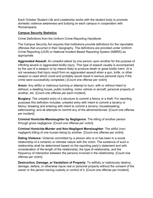Each October Student Life and Leadership works with the student body to promote domestic violence awareness and bullying on each campus in cooperation with Womanspace.

### **Campus Security Statistics**

Crime Definitions from the Uniform Crime Reporting Handbook

The Campus Security Act requires that institutions provide definitions for the reportable offenses that occurred in their Geography. The definitions are provided under Uniform Crime Reporting (UCR) or National Incident Based Reporting System (NIBRS) as appropriate.

**Aggravated Assault**: An unlawful attack by one person upon another for the purpose of inflicting severe or aggravated bodily injury. This type of assault usually is accompanied by the use of a weapon or by means likely to produce death or great bodily harm. (It is not necessary that injury result from an aggravated assault when a gun, knife, or other weapon is used which could and probably would result in serious personal injury if the crime were successfully completed.) [Count one offense per victim]

**Arson**: Any willful or malicious burning or attempt to burn, with or without intent to defraud, a dwelling house, public building, motor vehicle or aircraft, personal property of another, etc. [Count one offense per each incident]

**Burglary:** The unlawful entry of a structure to commit a felony or a theft. For reporting purposes this definition includes: unlawful entry with intent to commit a larceny or felony; breaking and entering with intent to commit a larceny; housebreaking; safecracking; and all attempts to commit any of the aforementioned. [Count one offense per incident]

**Criminal Homicide-Manslaughter by Negligence**: The killing of another person through gross negligence. [Count one offense per victim]

**Criminal Homicide-Murder and Non-Negligent Manslaughter**: The willful (nonnegligent) killing of one human being by another. [Count one offense per victim]

**Dating Violence:** Violence committed by a person who is or has been in a social relationship of a romantic or intimate nature with the victim. The existence of such a relationship shall be determined based on the reporting party's statement and with consideration of the length of the relationship, the type of relationship, and the frequency of interaction between the persons involved in the relationship. [Count one offense per victim]

**Destruction, Damage, or Vandalism of Property:** To willfully or maliciously destroy, damage, deface, or otherwise injure real or personal property without the consent of the owner or the person having custody or control of it. [Count one offense per incident]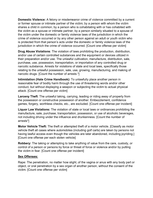**Domestic Violence:** A felony or misdemeanor crime of violence committed by a current or former spouse or intimate partner of the victim; by a person with whom the victim shares a child in common; by a person who is cohabitating with or has cohabited with the victim as a spouse or intimate partner; by a person similarly situated to a spouse of the victim under the domestic or family violence laws of the jurisdiction in which the crime of violence occurred or by any other person against an adult or youth victim who is protected from that person's acts under the domestic or family violence laws of the jurisdiction in which the crime of violence occurred. [Count one offense per victim]

**Drug Abuse Violations**: The violation of laws prohibiting the production, distribution, and/or use of certain controlled substances and the equipment or devices utilized in their preparation and/or use. The unlawful cultivation, manufacture, distribution, sale, purchase, use, possession, transportation, or importation of any controlled drug or narcotic substance. Arrests for violations of state and local laws, specifically those relating to the unlawful possession, sale, use, growing, manufacturing, and making of narcotic drugs. [Count the number of arrests \*]

**Intimidation (Hate Crime Handbook):** To unlawfully place another person in reasonable fear of bodily harm through the use of threatening words and/or other conduct, but without displaying a weapon or subjecting the victim to actual physical attack. [Count one offense per victim]

**Larceny Theft**: The unlawful taking, carrying, leading or riding away of property from the possession or constructive possession of another. Embezzlement, confidence games, forgery, worthless checks, etc., are excluded. [Count one offense per incident]

**Liquor Law Violations:** The violation of state or local laws or ordinances prohibiting the manufacture, sale, purchase, transportation, possession, or use of alcoholic beverages, not including driving under the influence and drunkenness. [Count the number of arrests\*]

**Motor Vehicle Theft:** The theft or attempted theft of a motor vehicle. [Classify as motor vehicle theft all cases where automobiles (including golf carts) are taken by persons not having lawful access even though the vehicles are later abandoned, including joyriding.] [Count one offense per each stolen vehicle]

**Robbery:** The taking or attempting to take anything of value from the care, custody, or control of a person or persons by force or threat of force or violence and/or by putting the victim in fear. [Count one offense per incident]

# **Sex Offenses:**

Rape: The penetration, no matter how slight, of the vagina or anus with any body part or object, or oral penetration by a sex organ of another person, without the consent of the victim. [Count one offense per victim]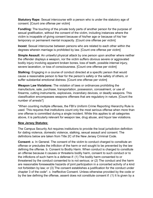**Statutory Rape:** Sexual intercourse with a person who is under the statutory age of consent. [Count one offense per victim]

**Fondling:** The touching of the private body parts of another person for the purpose of sexual gratification, without the consent of the victim, including instances where the victim is incapable of giving consent because of his/her age or because of his/ her temporary or permanent mental incapacity. [Count one offense per victim]

**Incest**: Sexual intercourse between persons who are related to each other within the degrees wherein marriage is prohibited by law. [Count one offense per victim]

**Simple Assault**: An unlawful physical attack by one person upon another where neither the offender displays a weapon, nor the victim suffers obvious severe or aggravated bodily injury involving apparent broken bones, loss of teeth, possible internal injury, severe laceration, or loss of consciousness. [Count one offense per victim]

**Stalking:** Engaging in a course of conduct directed at a specific person that would cause a reasonable person to fear for the person's safety or the safety of others, or suffer substantial emotional distress. [Count one offense per victim]

**Weapon Law Violations:** The violation of laws or ordinances prohibiting the manufacture, sale, purchase, transportation, possession, concealment, or use of firearms, cutting instruments, explosives, incendiary devices, or deadly weapons. This classification encompasses weapons offenses that are regulatory in nature. [Count the number of arrests\*]

\*When counting multiple offenses, the FBI's Uniform Crime Reporting Hierarchy Rule is used. This requires that institutions count only the most serious offense when more than one offense is committed during a single incident. While this applies to all categories above, it is particularly relevant for weapon law, drug abuse, and liquor law violations.

# **New Jersey Statutes:**

The Campus Security Act requires institutions to provide the local jurisdiction definition for dating violence, domestic violence, stalking, sexual assault and consent. The definitions below are taken from Title 2C of the New Jersey Criminal Code.

**Consent:** a. In General. The consent of the victim to conduct charged to constitute an offense or precludes the infliction of the harm or evil sought to be prevented by the law defining the offense. b. Consent to Bodily Harm. When conduct is charged to constitute an offense because it causes or threatens bodily harm, consent to such conduct or to the inflictions of such harm Is a defense if: (1) The bodily harm consented to or threatened by the conduct consented to is not serious; or (2) The conduct and the harm are reasonable foreseeable hazards of joint participation in a concerted activity of a kind not forbidden by law; or (3) The consent establishes a justification for the conduct under chapter 3 of the code\*. c. Ineffective Consent. Unless otherwise provided by the code or by the law defining the offense, assent does not constitute consent if: (1) It Is given by a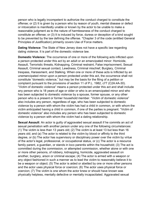person who is legally incompetent to authorize the conduct charged to constitute the offense; or (2) It is given by a person who by reason of youth, mental disease or defect or intoxication is manifestly unable or known by the actor to be unable to make a reasonable judgment as to the nature of harmlessness of the conduct charged to constitute an offense; or (3) It is induced by force, duress or deception of a kind sought to be prevented by the law defining the offense. \*Chapter 3 of the code (entitled General Principles of Justification) primarily covers Use of Force matters.

**Dating Violence**: The State of New Jersey does not have a specific law regarding dating violence. It is part of the domestic violence law.

**Domestic Violence:** The occurrence of one or more of the following acts inflicted upon a person protected under this act by an adult or an emancipated minor: Homicide, Assault, Terroristic threats, Kidnapping, Criminal restraint, False imprisonment, Sexual Assault, Criminal sexual contact, Lewdness, Criminal mischief, Burglary, Criminal trespass, Harassment, and Stalking. When one or more of these acts is Inflicted by an unemancipated minor upon a person protected under this act, the occurrence shall not constitute "domestic violence," but may be the basis for the filing of a petition or complaint pursuant to the provisions of section 11 of P.L. 1982, c77 (C2A:4A-30). "Victim of domestic violence" means a person protected under this act and shall include any person who is 18 years of age or older or who is an emancipated minor and who has been subjected to domestic violence by a spouse, former spouse, or any other person who is a present or former household member. "Victim of domestic violence" also includes any person, regardless of age, who has been subjected to domestic violence by a person with whom the victim has had a child in common, or with whom the victim anticipated having a child in common, if one of the parties is pregnant. "Victim of domestic violence" also includes any person who has been subjected to domestic violence by a person with whom the victim had a dating relationship.

**Sexual Assault**: An actor is guilty of aggravated sexual assault if he commits an act of sexual penetration with another person under any one of the following circumstances: (1) The victim is less than 13 years old; (2) The victim is at least 13 but less than 16 years old; and (a) The actor is related to the victim by blood or affinity to the third degree, or (b) The actor has supervisory or disciplinary power over the victim by virtue of the actor's legal, professional, or occupational status, or (c) The actor is a resource family parent, a guardian, or stands in loco parentis within the household; (3) The act is committed during the commission, or attempted commission, whether alone or with one or more other persons, of robbery, kidnapping, homicide, aggravated assault on another, burglary, arson or criminal escape; (4) The actor is armed with a weapon or any object fashioned in such a manner as to lead the victim to reasonably believe it to be a weapon or object; (5) The actor is aided or abetted by one or more other persons and the actor uses physical force or coercion; (6) The actor uses physical force or coercion; (7) The victim is one whom the actor knew or should have known was physically helpless, mentally defective or mentally incapacitated. Aggravated sexual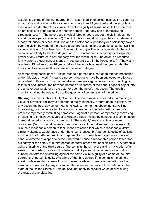assault Is a crime of the first degree. b. An actor is guilty of sexual assault if he commits an act of sexual contact with a victim who is less than 13 years old and the actor is at least 4 years older than the victim. c. An actor is guilty of sexual assault if he commits an act of sexual penetration with another person under any one of the following circumstances: (1) The actor uses physical force or coercion, but the victim does not sustain severe personal injury; (2) The victim is on probation or parole, or is detained in a hospital, prison or other institution and the actor has supervisory or disciplinary power over the victim by virtue of the actor's legal, professional or occupational status; (3) The victim Is at least 16 but less than 18 years old and: (a) The actor is related to the victim by blood or affinity to the third degree; or (b) The actor has supervisory or disciplinary power of any nature or in any capacity over the victim; or (c) The actor is a resource family parent, a guardian, or stands in loco parentis within the household; (4) The victim is at least 13 but less than 16 years old and the actor Is at least four years older than the victim. Sexual assault is a crime of the second degree.

Accompanying definitions: a. "Actor" means a person accused of an offense proscribed under this act; b. "Victim" means a person alleging to have been subjected to offenses proscribed to this act; c. "Sexual penetration" means vaginal intercourse, cunnilingus, fellatio or anal intercourse between persons or insertion of the hand, finger or object into the anus or vagina either by the actor or upon the actor's instruction. The depth of insertion shall not be relevant as to the question of commission of the crime.

**Stalking:** As used in this act: (1) "Course of conduct" means repeatedly maintaining a visual or physical proximity to a person; directly, indirectly, or through third parties, by any action, method, device, or means, following, monitoring, observing, surveilling, threatening, or communicating to or about, a person, or interfering with a person's property; repeatedly committing harassment against a person; or repeatedly conveying, or causing to be conveyed, verbal or written threats implied by conduct or a combination thereof directed at or toward a person. (2) "Repeatedly" means on two or more occasions. (3) "Emotional distress" means significant mental suffering or distress. (4) "Cause a reasonable person to fear" means to cause fear which a reasonable victim, similarly situated, would have under the circumstances. b. A person is guilty of stalking, a crime of the fourth degree, if he: purposefully or knowingly engages in a course of conduct directed at a specific person that would cause a reasonable person to fear for his safety or the safety of a third person or suffer other emotional distress. c. A person is guilty of a crime of the third degree if he commits the crime of stalking in violation of an existing court order prohibiting the behavior. d. A person who commits a second or subsequent offense of stalking against the same victim is guilty of a crime of the third degree. e. A person is guilty of a crime of the third degree if he commits the crime of stalking while serving a term of imprisonment or while on parole or probation as the result of a conviction for any indictable offense under the laws of this State, any other state of the United States. f. This act shall not apply to conduct which occurs during organized group picketing.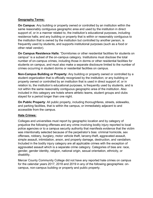# **Geography Terms:**

**On Campus**: Any building or property owned or controlled by an institution within the same reasonably contiguous geographic area and used by the institution in direct support of, or in a manner related to, the institution's educational purposes, including residence halls; and any building or property that is within or reasonably contiguous to the institution that is owned by the institution but controlled by another person, is frequently used by students, and supports institutional purposes (such as a food or other retail vendor).

**On Campus Residence Halls**: "Dormitories or other residential facilities for students on campus" is a subset of the on-campus category. Institutions must disclose the total number of on-campus crimes, including those in dorms or other residential facilities for students on campus, and must also make a separate disclosure limited to the number of crimes occurring in student dorms or residential facilities on campus.

**Non-Campus Building or Property:** Any building or property owned or controlled by a student organization that is officially recognized by the institution; or any building or property owned or controlled by an institution that is used in direct support of, or in relation to, the institution's educational purposes, is frequently used by students, and is not within the same reasonably contiguous geographic area of the institution. Also included in this category are hotels where athletic teams, student groups and clubs stayed for a period longer than one night.

**On Public Property**: All public property, including thoroughfares, streets, sidewalks, and parking facilities, that is within the campus, or immediately adjacent to and accessible from the campus.

# **Hate Crimes:**

Colleges and universities must report by geographic location and by category of prejudice the following offenses and any crime involving bodily injury reported to local police agencies or to a campus security authority that manifests evidence that the victim was intentionally selected because of the perpetrator's bias: criminal homicide, sex offenses, robbery, burglary, motor vehicle theft, larceny-theft, aggravated assault, simple assault, intimidation, arson, and property damage, destruction, and vandalism. Included in the bodily injury category are all applicable crimes with the exception of aggravated assault which is a separate crime category. Categories of bias are: race, gender, gender identity, religion, national origin, sexual orientation, ethnicity, or disability.

Mercer County Community College did not have any reported hate crimes on campus for the calendar years 2017, 2018 and 2019 in any of the following geographies: oncampus, non-campus building or property and public property.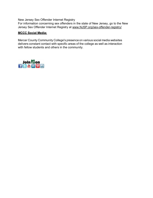New Jersey Sex Offender Internet Registry

For information concerning sex offenders in the state of New Jersey, go to the New Jersey Sex Offender Internet Registry at [www.NJSP.org/sex-offender-registry/](http://www.njsp.org/sex-offender-registry/)

# **MCCC Social Media:**

Mercer County Community College's presence on various social media websites delivers constant contact with specific areas of the college as well as interaction with fellow students and others in the community.

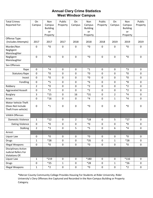# **Annual Clery Crime Statistics West Windsor Campus**

| <b>Total Crimes</b>        | On                  | Non             | Public              | On                  | Non             | Public       | On                  | Non             | Public      |
|----------------------------|---------------------|-----------------|---------------------|---------------------|-----------------|--------------|---------------------|-----------------|-------------|
| Reported For:              | Campus              | Campus          | Property            | Campus              | Campus          | Property     | Campus              | Campus          | Property    |
|                            |                     | <b>Building</b> |                     |                     | <b>Building</b> |              |                     | <b>Building</b> |             |
|                            |                     | or<br>Property  |                     |                     | or<br>Property  |              |                     | or<br>Property  |             |
| Offense Type:              |                     |                 |                     |                     |                 |              |                     |                 |             |
| (Includes Attempts)        | 2017                | 2017            | 2017                | 2018                | 2018            | 2018         | 2019                | 2019            | 2019        |
| Murder/Non                 | $\pmb{0}$           | $*_{0}$         | $\mathbf 0$         | $\mathbf 0$         | ${}^*0$         | $\mathbf 0$  | $\mathbf 0$         | $*_{0}$         | $\mathbf 0$ |
| Negligent                  |                     |                 |                     |                     |                 |              |                     |                 |             |
| Manslaughter<br>Negligent  | $\mathbf 0$         | $*_{0}$         | $\mathbf 0$         | $\mathbf 0$         | $*_{0}$         | $\mathbf 0$  | $\mathbf 0$         | $*_{0}$         | $\mathbf 0$ |
| Manslaughter               |                     |                 |                     |                     |                 |              |                     |                 |             |
|                            |                     |                 |                     |                     |                 |              |                     |                 |             |
| Sex Offenses               |                     |                 |                     |                     |                 |              |                     |                 |             |
| Rape                       | $\pmb{0}$           | $*4$            | $\mathbf 0$         | $\mathbf 0$         | $*_{1}$         | 0            | 0                   | $*3$            | $\pmb{0}$   |
| <b>Statutory Rape</b>      | $\pmb{0}$           | $*_{0}$         | $\mathbf 0$         | $\pmb{0}$           | $*_{0}$         | $\mathbf 0$  | 0                   | $*_{0}$         | $\pmb{0}$   |
| Incest                     | $\mathbf 0$         | $*_{0}$         | $\mathbf 0$         | $\mathbf 0$         | $*_{0}$         | $\mathbf 0$  | 0                   | $*_{0}$         | $\mathbf 0$ |
| Fondling                   | $\pmb{0}$           | $*5$            | $\mathbf 0$         | $\mathbf 0$         | $*6$            | $\mathbf 0$  | $\mathbf 0$         | $*8$            | $\mathbf 0$ |
| Robbery                    | $\overline{2}$      | $*_{0}$         | $\mathbf 0$         | $\mathbf 0$         | $*2$            | $\mathbf 0$  | $\mathbf 0$         | $*2$            | $\mathbf 0$ |
| <b>Aggravated Assault</b>  | 0                   | $*2$            | $\mathbf 0$         | $\mathbf 0$         | $*_{2}$         | $\mathbf 0$  | $\mathbf 0$         | $*2$            | $\pmb{0}$   |
| <b>Burglary</b>            | 3                   | $*15$           | $\mathbf 0$         | 16                  | $*31$           | $\mathbf 0$  | $\overline{2}$      | $*_{4}$         | $\mathbf 0$ |
| Arson                      | 0                   | $*16$           | $\mathbf 0$         | $\mathbf 0$         | $*_{4}$         | $\mathbf 0$  | $\mathbf{1}$        | $*_{4}$         | $\mathbf 0$ |
| Motor Vehicle Theft        |                     |                 |                     |                     |                 |              |                     |                 |             |
| (Does Not Include          | 0                   | $*_{1}$         | 0                   | $\pmb{0}$           | $^*0$           | $\pmb{0}$    | 0                   | $*_{0}$         | 0           |
| Theft From vehicle)        |                     |                 |                     |                     |                 |              |                     |                 |             |
| <b>VAWA Offenses</b>       |                     |                 |                     |                     |                 |              |                     |                 |             |
| <b>Domestic Violence</b>   | 1                   | $*12$           | $\mathbf 0$         | $\overline{2}$      | $*18$           | $\mathbf 0$  | 5                   | $*17$           | 0           |
| Dating Violence            | $\mathbf 0$         | $*_{0}$         | $\mathbf 0$         | $\pmb{0}$           | ${}^\ast 0$     | $\mathbf 0$  | $\mathbf 0$         | $*_{0}$         | $\mathbf 0$ |
| Stalking                   | $\overline{2}$      | $*3$            | $\pmb{0}$           | 5                   | $*5$            | $\pmb{0}$    | 6                   | $*_{4}$         | $\pmb{0}$   |
| Arrest:                    |                     |                 |                     |                     |                 |              |                     |                 |             |
| Liquor Law                 | $\mathbf 0$         | $*_{0}$         | $\mathbf 0$         | $\mathbf 0$         | $*_{0}$         | 0            | $\mathbf 0$         | $*_{0}$         | $\mathbf 0$ |
| <b>Drugs</b>               | $\mathbf{1}$        | $*28$           | $\mathsf{O}\xspace$ | $\mathsf{O}\xspace$ | $*35$           | 0            | $\mathbf{1}$        | $*28$           | $\mathbf 0$ |
| <b>Illegal Weapons</b>     | $\mathbf 0$         | $*_{0}$         | $\mathbf 0$         | $\mathsf{O}\xspace$ | $^*0$           | $\mathbf 0$  | $\mathbf 0$         | $*_{0}$         | $\mathbf 0$ |
| <b>Disciplinary Action</b> |                     |                 |                     |                     |                 |              |                     |                 |             |
| Judicial Refers For        |                     |                 |                     |                     |                 |              |                     |                 |             |
| Violations Of:             |                     |                 |                     |                     |                 |              |                     |                 |             |
| Liquor Law                 | 1                   | *219            | $\mathbf 0$         | $\mathbf 0$         | $*180$          | 0            | $\mathbf 0$         | $*116$          | $\mathbf 0$ |
| <b>Drugs</b>               | $\mathsf{O}\xspace$ | $*25$           | $\mathbf{1}$        | $\mathsf{O}\xspace$ | $*28$           | $\pmb{0}$    | $\mathbf{1}$        | $*26$           | $\mathbf 0$ |
| <b>Illegal Weapons</b>     | $\mathbf{1}$        | $*2$            | $\pmb{0}$           | $\pmb{0}$           | $*_{0}$         | $\mathsf{O}$ | $\mathsf{O}\xspace$ | $*2$            | $\mathbf 0$ |

\*Mercer County Community College Provides Housing For Students at Rider University. Rider University's Clery Offenses Are Captured and Recorded in the Non-Campus Building or Property Category.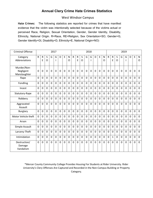# **Annual Clery Crime Hate Crimes Statistics**

# West Windsor Campus

**Hate Crimes:** The following statistics are reported for crimes that have manifest evidence that the victim was intentionally selected because of the victims actual or perceived Race, Religion, Sexual Orientation, Gender, Gender Identity, Disability, Ethnicity, National Origin. R=Race, RE=Religion, Sex Orientation=SO, Gender=G, Gender Identify=GI, Disability=D, Ethnicity=E, National Origin=NO)

| <b>Criminal Offense</b>                  |              |                |              |              | 2017         |                |                |          |                |                   |                     |             | 2018           |             |             |              |              |                |                |                | 2019         |                |                |                     |
|------------------------------------------|--------------|----------------|--------------|--------------|--------------|----------------|----------------|----------|----------------|-------------------|---------------------|-------------|----------------|-------------|-------------|--------------|--------------|----------------|----------------|----------------|--------------|----------------|----------------|---------------------|
| Category<br>Abbreviations                | $\mathsf{R}$ | ${\sf R}$<br>E | S<br>O       | G            | G            | D              | E              | N<br>O   | $\mathsf{R}$   | $\mathsf{R}$<br>E | S<br>$\overline{O}$ | G           | G              | D           | E           | N<br>O       | $\mathsf{R}$ | ${\sf R}$<br>E | S<br>O         | G              | G<br>ı       | D              | E              | N<br>$\overline{O}$ |
| Murder/Non-<br>Negligent<br>Manslaughter | 0            | 0              | $\mathbf 0$  | $\mathbf{0}$ | $\mathbf 0$  | $\mathbf{0}$   | $\mathbf 0$    | 0        | $\mathbf 0$    | 0                 | 0                   | 0           | 0              | 0           | $\mathbf 0$ | 0            | 0            | $\mathbf 0$    | 0              | $\mathbf 0$    | $\mathbf 0$  | $\mathbf 0$    | $\mathbf 0$    | 0                   |
| Rape                                     | $\Omega$     | $\Omega$       | $\Omega$     | $\Omega$     | $\mathbf{0}$ | $\Omega$       | $\Omega$       | $\Omega$ | $\Omega$       | $\Omega$          | $\Omega$            | $\Omega$    | $\Omega$       | $\Omega$    | $\Omega$    | $\Omega$     | 0            | $\Omega$       | $\Omega$       | $\Omega$       | $\mathbf{0}$ | $\Omega$       | $\Omega$       | $\overline{0}$      |
| Fondling                                 | $\mathbf 0$  | $\Omega$       | $\mathbf 0$  | $\Omega$     | $\mathbf 0$  | $\Omega$       | 0              | $\Omega$ | 0              | 0                 | 0                   | $\mathbf 0$ | $\mathbf 0$    | $\mathbf 0$ | $\mathbf 0$ | $\mathbf 0$  | 0            | $\mathbf 0$    | $\Omega$       | 0              | 0            | $\overline{0}$ | 0              | $\mathbf 0$         |
| Incest                                   | $\Omega$     | 0              | 0            | $\Omega$     | $\mathbf 0$  | $\Omega$       | $\mathbf 0$    | $\Omega$ | $\mathbf 0$    | $\Omega$          | $\mathbf 0$         | $\Omega$    | $\overline{0}$ | 0           | $\mathbf 0$ | $\Omega$     | 0            | $\overline{0}$ | $\Omega$       | 0              | $\mathbf{0}$ | $\Omega$       | 0              | 0                   |
| Statutory-Rape                           | $\mathbf 0$  | $\Omega$       | $\mathbf 0$  | $\mathbf{0}$ | $\mathbf 0$  | $\overline{0}$ | $\mathbf 0$    | $\Omega$ | 0              | $\Omega$          | $\Omega$            | $\Omega$    | $\overline{0}$ | $\mathbf 0$ | $\mathbf 0$ | $\Omega$     | 0            | $\mathbf 0$    | $\Omega$       | $\mathbf 0$    | $\Omega$     | 0              | 0              | $\mathbf 0$         |
| Robbery                                  | $\mathbf 0$  | $\overline{0}$ | $\mathbf 0$  | $\mathbf 0$  | $\mathbf 0$  | $\overline{0}$ | $\overline{0}$ | 0        | $\overline{0}$ | $\mathbf 0$       | $\mathbf 0$         | $\mathbf 0$ | $\overline{0}$ | $\mathbf 0$ | $\mathbf 0$ | $\mathbf 0$  | $\mathbf 0$  | $\mathbf 0$    | $\overline{0}$ | 0              | $\mathbf 0$  | 0              | $\overline{0}$ | $\mathbf 0$         |
| Aggravated<br>Assault                    | $\mathbf 0$  | 0              | $\mathbf 0$  | $\mathbf 0$  | $\mathbf 0$  | $\mathbf 0$    | $\mathbf 0$    | 0        | 0              | 0                 | $\overline{0}$      | $\mathbf 0$ | $\overline{0}$ | $\mathbf 0$ | $\mathbf 0$ | $\mathbf{0}$ | 0            | $\mathbf 0$    | $\overline{0}$ | $\mathbf 0$    | 0            | 0              | 0              | $\mathbf 0$         |
| <b>Burglary</b>                          | $\mathbf 0$  | $\overline{0}$ | $\mathbf 0$  | $\mathbf 0$  | $\mathbf 0$  | $\Omega$       | 0              | 0        | 0              | 0                 | $\Omega$            | $\mathbf 0$ | $\overline{0}$ | $\mathbf 0$ | $\mathbf 0$ | $\mathbf 0$  | 0            | $\mathbf 0$    | $\Omega$       | $\mathbf 0$    | $\Omega$     | $\mathbf 0$    | $\overline{0}$ | $\mathbf 0$         |
| Motor Vehicle theft                      | $\mathbf 0$  | $\overline{0}$ | $\mathbf 0$  | $\mathbf 0$  | $\mathbf 0$  | $\mathbf 0$    | $\overline{0}$ | 0        | $\overline{0}$ | 0                 | $\mathbf 0$         | $\mathbf 0$ | $\overline{0}$ | $\mathbf 0$ | $\mathbf 0$ | $\mathbf 0$  | 0            | $\mathbf 0$    | $\Omega$       | 0              | $\mathbf 0$  | $\mathbf 0$    | $\overline{0}$ | $\overline{0}$      |
| Arson                                    | $\mathbf 0$  | 0              | $\mathbf 0$  | $\mathbf 0$  | $\mathbf 0$  | $\Omega$       | 0              | 0        | 0              | 0                 | 0                   | $\mathbf 0$ | $\mathbf 0$    | 0           | $\mathbf 0$ | $\mathbf 0$  | 0            | $\mathbf 0$    | 0              | 0              | 0            | $\overline{0}$ | 0              | $\mathbf 0$         |
| Simple Assault                           | $\mathbf 0$  | $\Omega$       | $\mathbf{0}$ | $\Omega$     | $\mathbf 0$  | $\Omega$       | $\overline{0}$ | $\Omega$ | $\overline{0}$ | $\Omega$          | $\Omega$            | $\Omega$    | $\overline{0}$ | $\Omega$    | $\mathbf 0$ | $\Omega$     | $\mathbf 0$  | $\mathbf 0$    | $\Omega$       | $\Omega$       | $\Omega$     | $\Omega$       | $\Omega$       | $\overline{0}$      |
| Larceny-Theft                            | $\mathbf 0$  | 0              | $\mathbf 0$  | $\mathbf 0$  | $\mathbf 0$  | $\mathbf 0$    | 0              | 0        | 0              | $\mathbf 0$       | $\overline{0}$      | $\mathbf 0$ | $\mathbf 0$    | $\mathbf 0$ | 0           | $\mathbf 0$  | 0            | $\mathbf 0$    | $\overline{0}$ | $\overline{0}$ | 0            | 0              | $\overline{0}$ | $\mathbf 0$         |
| Intimidation                             | $\Omega$     | $\Omega$       | $\mathbf 0$  | $\Omega$     | $\mathbf 0$  | $\Omega$       | $\overline{0}$ | $\Omega$ | $\overline{0}$ | $\Omega$          | $\overline{0}$      | $\Omega$    | $\overline{0}$ | $\Omega$    | $\mathbf 0$ | $\mathbf 0$  | 0            | $\mathbf{1}$   | $\Omega$       | $\Omega$       | $\mathbf 0$  | $\mathbf 0$    | 0              | $\mathbf 0$         |
| Destruction/<br>Damage<br>Vandalism      | $\mathbf{0}$ | $\overline{0}$ | $\mathbf 0$  | $\mathbf 0$  | $\mathbf 0$  | $\Omega$       | $\mathbf 0$    | $\Omega$ | 0              | 0                 | 0                   | $\mathbf 0$ | $\overline{0}$ | $\mathbf 0$ | $\mathbf 0$ | $\mathbf 0$  | 0            | $\overline{0}$ | $\overline{0}$ | 0              | 0            | 0              | $\overline{0}$ | $\mathbf 0$         |

\*Mercer County Community College Provides Housing For Students at Rider University. Rider University's Clery Offenses Are Captured and Recorded in the Non-Campus Building or Property Category.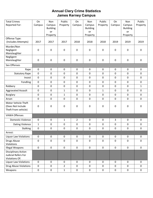# **Annual Clery Crime Statistics James Kerney Campus**

| <b>Total Crimes</b>                               | On             | Non                       | Public         | On               | Non                       | Public           | On          | Non                       | Public           |
|---------------------------------------------------|----------------|---------------------------|----------------|------------------|---------------------------|------------------|-------------|---------------------------|------------------|
| Reported For:                                     | Campus         | Campus<br><b>Building</b> | Property       | Campus           | Campus<br><b>Building</b> | Property         | Campus      | Campus<br><b>Building</b> | Property         |
|                                                   |                | or                        |                |                  | or                        |                  |             | or                        |                  |
|                                                   |                | Property                  |                |                  | Property                  |                  |             | Property                  |                  |
| Offense Type:                                     |                |                           |                |                  |                           |                  |             |                           |                  |
| (Includes Attempts)                               | 2017           | 2017                      | 2017           | 2018             | 2018                      | 2018             | 2019        | 2019                      | 2019             |
| Murder/Non                                        |                |                           |                |                  |                           |                  |             |                           |                  |
| Negligent<br>Manslaughter                         | 0              | 0                         | 0              | $\boldsymbol{0}$ | $\pmb{0}$                 | $\boldsymbol{0}$ | $\mathbf 0$ | 0                         | $\boldsymbol{0}$ |
| Negligent                                         |                |                           |                |                  |                           |                  |             |                           |                  |
| Manslaughter                                      | $\pmb{0}$      | 0                         | 0              | $\boldsymbol{0}$ | $\pmb{0}$                 | $\boldsymbol{0}$ | $\mathbf 0$ | $\mathbf 0$               | $\pmb{0}$        |
| Sex Offenses                                      |                |                           |                |                  |                           |                  |             |                           |                  |
| Rape                                              | $\mathbf 0$    | $\pmb{0}$                 | 0              | $\mathbf 0$      | $\pmb{0}$                 | $\mathbf 0$      | 0           | $\mathbf 0$               | $\mathbf 0$      |
| <b>Statutory Rape</b>                             | $\mathbf 0$    | $\pmb{0}$                 | 0              | $\mathsf 0$      | $\pmb{0}$                 | $\mathbf 0$      | $\pmb{0}$   | $\mathbf 0$               | $\mathbf 0$      |
| Incest                                            | $\mathbf 0$    | $\pmb{0}$                 | 0              | 0                | 0                         | $\mathbf 0$      | $\mathbf 0$ | $\mathbf 0$               | $\mathbf 0$      |
| Fondling                                          | $\mathbf 0$    | $\mathbf 0$               | $\mathbf 0$    | 0                | 0                         | $\mathbf 0$      | $\mathbf 0$ | $\mathbf 0$               | $\mathbf 0$      |
| Robbery                                           | $\mathbf 0$    | $\pmb{0}$                 | 0              | 0                | $\pmb{0}$                 | $\mathbf 0$      | $\mathbf 0$ | $\pmb{0}$                 | $\mathbf{1}$     |
| <b>Aggravated Assault</b>                         | $\mathbf 0$    | $\pmb{0}$                 | $\mathbf{1}$   | $\mathbf 0$      | $\pmb{0}$                 | $\mathbf{1}$     | 0           | $\mathbf 0$               | $\mathbf 0$      |
| <b>Burglary</b>                                   | $\mathbf 0$    | $\pmb{0}$                 | $\mathbf{1}$   | $\mathbf 0$      | $\pmb{0}$                 | $\mathbf 0$      | $\mathbf 0$ | $\pmb{0}$                 | $\pmb{0}$        |
| Arson                                             | $\overline{0}$ | $\mathbf 0$               | 0              | $\mathbf 0$      | 0                         | 0                | 0           | $\mathbf 0$               | $\mathbf 0$      |
| Motor Vehicle Theft                               |                |                           |                |                  |                           |                  |             |                           |                  |
| (Does Not Include                                 | 0              | 0                         | 0              | 0                | 0                         | $\boldsymbol{0}$ | $\pmb{0}$   | 0                         | $\pmb{0}$        |
| Theft From vehicle)                               |                |                           |                |                  |                           |                  |             |                           |                  |
| <b>VAWA Offenses</b>                              |                |                           |                |                  |                           |                  |             |                           |                  |
| <b>Domestic Violence</b>                          | $\mathbf 0$    | $\mathbf 0$               | 1              | $\overline{2}$   | $\mathbf 0$               | $\mathbf 0$      | 3           | $\mathbf 0$               | $\mathbf 0$      |
| Dating Violence                                   | $\mathbf{1}$   | $\pmb{0}$                 | 0              | $\pmb{0}$        | $\pmb{0}$                 | $\mathbf 0$      | $\pmb{0}$   | $\mathbf 0$               | $\mathbf 0$      |
| <b>Stalking</b>                                   | $\pmb{0}$      | 0                         | 0              | 0                | 0                         | 0                | $\pmb{0}$   | 0                         | $\pmb{0}$        |
| Arrest:                                           |                |                           |                |                  |                           |                  |             |                           |                  |
| <b>Liquor Law Violations</b>                      | $\mathbf 0$    | $\pmb{0}$                 | 0              | $\mathbf 0$      | $\mathbf 0$               | $\mathbf 0$      | $\mathbf 0$ | $\mathbf 0$               | $\mathbf 0$      |
| Drugs Abuse                                       | $\mathbf 0$    | $\pmb{0}$                 | 0              | 0                | $\pmb{0}$                 | $\mathbf 0$      | $\mathbf 0$ | $\mathbf 0$               | $\mathbf 0$      |
| Violations                                        |                |                           |                |                  |                           |                  |             |                           |                  |
| <b>Illegal Weapons</b>                            | $\mathbf 0$    | $\mathsf{O}\xspace$       | 0              | $\mathbf 0$      | $\mathsf{O}\xspace$       | $\mathbf 0$      | $\mathbf 0$ | $\mathbf 0$               | $\pmb{0}$        |
| <b>Disciplinary Action</b><br>Judicial Refers For |                |                           |                |                  |                           |                  |             |                           |                  |
| <b>Violations Of:</b>                             |                |                           |                |                  |                           |                  |             |                           |                  |
| <b>Liquor Law Violations</b>                      | $\mathbf 0$    | $\mathbf 0$               | $\mathbf 0$    | $\mathbf 0$      | $\mathbf 0$               | $\mathbf 0$      | $\mathbf 0$ | $\mathbf 0$               | $\mathbf 0$      |
| Drug Abuse Violations                             | $\mathbf 0$    | $\pmb{0}$                 | $\overline{2}$ | $\mathbf 0$      | $\mathbf 0$               | $\mathbf 0$      | $\mathbf 0$ | $\mathbf 0$               | $\mathbf 0$      |
| Weapons                                           | $\pmb{0}$      | $\pmb{0}$                 | $\mathbf 1$    | $\pmb{0}$        | $\pmb{0}$                 | $\mathsf 0$      | $\pmb{0}$   | $\mathsf 0$               | $\pmb{0}$        |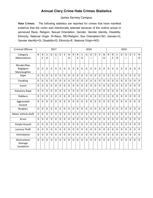# **Annual Clery Crime Hate Crimes Statistics**

### James Kerney Campus

**Hate Crimes:** The following statistics are reported for crimes that have manifest evidence that the victim was intentionally selected because of the victims actual or perceived Race, Religion, Sexual Orientation, Gender, Gender Identity, Disability, Ethnicity, National Origin. R=Race, RE=Religion, Sex Orientation=SO, Gender=G, Gender Identify=GI, Disability=D, Ethnicity=E, National Origin=NO)

| <b>Criminal Offense</b>                 |                |                |                |                | 2017           |          |                |                   |                |                   |                     |             | 2018           |                |                |                   |              |                   |                |             | 2019        |                |                |             |
|-----------------------------------------|----------------|----------------|----------------|----------------|----------------|----------|----------------|-------------------|----------------|-------------------|---------------------|-------------|----------------|----------------|----------------|-------------------|--------------|-------------------|----------------|-------------|-------------|----------------|----------------|-------------|
| Category<br>Abbreviations               | $\mathsf{R}$   | ${\sf R}$<br>E | S<br>O         | G              | G              | D        | E              | $\mathsf{N}$<br>O | $\mathsf{R}$   | $\mathsf{R}$<br>E | S<br>$\overline{O}$ | G           | G              | D              | E              | $\mathsf{N}$<br>O | $\mathsf{R}$ | $\mathsf{R}$<br>E | S<br>O         | G           | G           | D              | E              | N<br>O      |
| Murder/Non<br>Negligent<br>Manslaughter | 0              | 0              | 0              | 0              | $\mathbf 0$    | 0        | $\mathbf 0$    | $\mathbf 0$       | $\mathbf 0$    | $\mathbf 0$       | $\mathbf 0$         | $\mathbf 0$ | $\mathbf 0$    | 0              | $\mathbf 0$    | 0                 | 0            | $\mathbf 0$       | $\mathbf 0$    | $\mathbf 0$ | $\mathbf 0$ | $\mathbf 0$    | $\mathbf 0$    | 0           |
| Rape                                    | 0              | $\mathbf 0$    | 0              | $\overline{0}$ | $\overline{0}$ | $\Omega$ | $\mathbf 0$    | $\mathbf 0$       | $\mathbf 0$    | $\mathbf 0$       | 0                   | $\mathbf 0$ | $\mathbf 0$    | 0              | 0              | $\overline{0}$    | 0            | $\mathbf 0$       | $\Omega$       | $\Omega$    | $\mathbf 0$ | $\mathbf 0$    | $\mathbf 0$    | $\mathbf 0$ |
| Fondling                                | $\overline{0}$ | $\overline{0}$ | 0              | $\overline{0}$ | $\overline{0}$ | $\Omega$ | $\mathbf 0$    | 0                 | 0              | 0                 | $\mathbf 0$         | $\mathbf 0$ | $\mathbf 0$    | 0              | $\overline{0}$ | $\overline{0}$    | 0            | $\mathbf 0$       | $\Omega$       | $\mathbf 0$ | $\mathbf 0$ | $\mathbf 0$    | $\mathbf 0$    | $\mathbf 0$ |
| Incest                                  | $\overline{0}$ | $\overline{0}$ | 0              | $\overline{0}$ | $\overline{0}$ | $\Omega$ | 0              | $\Omega$          | 0              | 0                 | 0                   | $\mathbf 0$ | $\overline{0}$ | 0              | 0              | $\overline{0}$    | 0            | $\mathbf 0$       | $\Omega$       | $\Omega$    | $\Omega$    | $\mathbf 0$    | 0              | 0           |
| Statutory-Rape                          | $\overline{0}$ | $\overline{0}$ | $\overline{0}$ | $\overline{0}$ | $\overline{0}$ | $\Omega$ | $\mathbf 0$    | $\overline{0}$    | $\overline{0}$ | $\mathbf 0$       | $\mathbf 0$         | $\mathbf 0$ | $\mathbf 0$    | 0              | $\overline{0}$ | $\overline{0}$    | 0            | $\mathbf 0$       | $\overline{0}$ | $\mathbf 0$ | $\mathbf 0$ | $\mathbf 0$    | $\mathbf 0$    | $\mathbf 0$ |
| Robbery                                 | $\overline{0}$ | $\overline{0}$ | 0              | $\overline{0}$ | $\overline{0}$ | $\Omega$ | $\mathbf 0$    | $\Omega$          | $\overline{0}$ | $\mathbf{0}$      | $\mathbf 0$         | $\mathbf 0$ | $\overline{0}$ | $\Omega$       | $\overline{0}$ | 0                 | 0            | $\mathbf 0$       | $\Omega$       | $\Omega$    | $\mathbf 0$ | $\Omega$       | $\mathbf 0$    | $\mathbf 0$ |
| Aggravated<br>Assault                   | $\Omega$       | $\Omega$       | 0              | $\overline{0}$ | $\overline{0}$ | $\Omega$ | $\mathbf 0$    | $\Omega$          | 0              | $\Omega$          | 0                   | $\mathbf 0$ | $\overline{0}$ | $\Omega$       | 0              | 0                 | 0            | $\mathbf 0$       | $\mathbf 0$    | $\Omega$    | $\mathbf 0$ | $\mathbf 0$    | $\mathbf 0$    | $\mathbf 0$ |
| Burglary                                | $\overline{0}$ | $\Omega$       | $\overline{0}$ | $\overline{0}$ | $\overline{0}$ | $\Omega$ | $\mathbf{0}$   | $\Omega$          | $\overline{0}$ | $\Omega$          | $\mathbf{0}$        | $\Omega$    | $\mathbf{0}$   | $\overline{0}$ | $\overline{0}$ | $\overline{0}$    | 0            | $\Omega$          | $\Omega$       | $\Omega$    | $\Omega$    | $\overline{0}$ | $\mathbf{0}$   | $\mathbf 0$ |
| Motor Vehicle theft                     | $\overline{0}$ | $\overline{0}$ | 0              | $\overline{0}$ | $\overline{0}$ | $\Omega$ | $\mathbf 0$    | 0                 | $\mathbf 0$    | 0                 | 0                   | $\mathbf 0$ | $\overline{0}$ | $\Omega$       | 0              | 0                 | 0            | $\mathbf 0$       | $\Omega$       | $\Omega$    | $\mathbf 0$ | $\mathbf 0$    | $\overline{0}$ | 0           |
| Arson                                   | $\overline{0}$ | $\Omega$       | 0              | 0              | $\overline{0}$ | $\Omega$ | $\mathbf 0$    | $\Omega$          | $\overline{0}$ | $\Omega$          | 0                   | $\Omega$    | $\overline{0}$ | $\Omega$       | $\overline{0}$ | 0                 | 0            | $\Omega$          | $\Omega$       | $\Omega$    | $\mathbf 0$ | $\Omega$       | $\overline{0}$ | 0           |
| Simple Assault                          | $\overline{0}$ | $\overline{0}$ | 0              | $\overline{0}$ | $\overline{0}$ | 0        | $\mathbf 0$    | 0                 | 0              | 0                 | $\mathbf 0$         | $\mathbf 0$ | $\overline{0}$ | 0              | 0              | 0                 | 0            | $\mathbf 0$       | $\Omega$       | 0           | $\mathbf 0$ | $\mathbf 0$    | $\overline{0}$ | 0           |
| Larceny-Theft                           | $\overline{0}$ | $\Omega$       | 0              | $\Omega$       | $\overline{0}$ | $\Omega$ | $\mathbf 0$    | $\Omega$          | $\overline{0}$ | $\overline{0}$    | 0                   | $\Omega$    | $\overline{0}$ | $\Omega$       | $\overline{0}$ | 0                 | 0            | $\Omega$          | $\Omega$       | $\Omega$    | $\mathbf 0$ | $\Omega$       | $\mathbf 0$    | 0           |
| Intimidation                            | $\overline{0}$ | $\mathbf 0$    | 0              | 0              | $\overline{0}$ | $\Omega$ | $\mathbf 0$    | 0                 | 0              | 0                 | 0                   | $\mathbf 0$ | $\overline{0}$ | $\Omega$       | 0              | 0                 | 0            | $\mathbf 0$       | 0              | $\Omega$    | $\mathbf 0$ | 0              | $\overline{0}$ | $\mathbf 0$ |
| Destruction/<br>Damage<br>Vandalism     | $\overline{0}$ | $\overline{0}$ | 0              | $\overline{0}$ | $\overline{0}$ | $\Omega$ | $\overline{0}$ | 0                 | $\overline{0}$ | 0                 | 0                   | $\mathbf 0$ | $\mathbf 0$    | 0              | $\overline{0}$ | $\overline{0}$    | 0            | $\mathbf 0$       | $\Omega$       | $\Omega$    | $\mathbf 0$ | $\mathbf 0$    | $\mathbf 0$    | $\mathbf 0$ |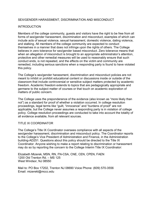### SEX/GENDER HARASSMENT, DISCRIMINATION AND MISCONDUCT

#### INTRODUCTION

Members of the college community, guests and visitors have the right to be free from all forms of sex/gender harassment, discrimination and misconduct, examples of which can include acts of sexual violence, sexual harassment, domestic violence, dating violence, and stalking. All members of the college community are expected to conduct themselves in a manner that does not infringe upon the rights of others. The College believes in zero tolerance for sex/gender based misconduct. Zero tolerance means that when an allegation of misconduct is brought to an appropriate administrator's attention, protective and other remedial measures will be used to reasonably ensure that such conduct ends, is not repeated, and the effects on the victim and community are remedied, including serious sanctions when a responding party is found to have violated this policy.

The College's sex/gender harassment, discrimination and misconduct policies are not meant to inhibit or prohibit educational content or discussions inside or outside of the classroom that include controversial or sensitive subject matters protected by academic freedom. Academic freedom extends to topics that are pedagogically appropriate and germane to the subject matter of courses or that touch on academic exploration of matters of public concern.

The College uses the preponderance of the evidence (also known as "more likely than not") as a standard for proof of whether a violation occurred. In college resolution proceedings, legal terms like "guilt, "innocence" and "burdens of proof" are not applicable, but the College never assumes a responding party is in violation of college policy. College resolution proceedings are conducted to take into account the totality of all evidence available, from all relevant sources.

#### TITLE IX COORDINATOR

The College's Title IX Coordinator oversees compliance with all aspects of the sex/gender harassment, discrimination and misconduct policy. The Coordinator reports to the College's Vice President of Administration and Finance, in the Administration building-AD251. Questions about this policy should be directed to the Title IX Coordinator. Anyone wishing to make a report relating to discrimination or harassment may do so by reporting the concern to the College Interim Title IX Coordinator:

Elizabeth Mizerek, MSN, RN, FN-CSA, CNE, CEN, CPEN, FAEN 1200 Old Trenton Rd. – MS 125 West Windsor, NJ 08550

Mail to: PO Box 17202, Trenton NJ 08690 Voice Phone: (609) 570-3556 Email: mizerekl@mccc.edu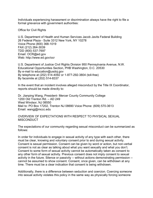Individuals experiencing harassment or discrimination always have the right to file a formal grievance with government authorities:

Office for Civil Rights

U.S. Department of Health and Human Services Jacob Javits Federal Building 26 Federal Plaza - Suite 3312 New York, NY 10278 Voice Phone (800) 368-1019 FAX (212) 264-3039 TDD (800) 537-7697 Email: OCR@ed.gov Web: http://www.ed.gov/ocr

U.S. Department of Justice Civil Rights Division 950 Pennsylvania Avenue, N.W. Educational Opportunities Section, PHB Washington, D.C. 20530 By e-mail to education@usdoj.gov By telephone at (202) 514-4092 or 1-877-292-3804 (toll-free) By facsimile at (202) 514-8337

In the event that an incident involves alleged misconduct by the Title IX Coordinator, reports should be made directly to:

Dr. Jianping Wang, President- Mercer County Community College 1200 Old Trenton Rd. – AD 249 West Windsor, NJ 08550 Mail to: PO Box 17202, Trenton NJ 08690 Voice Phone: (609) 570-3613 Email: wangj@mccc.edu

OVERVIEW OF EXPECTATIONS WITH RESPECT TO PHYSICAL SEXUAL **MISCONDUCT** 

The expectations of our community regarding sexual misconduct can be summarized as follows:

In order for individuals to engage in sexual activity of any type with each other, there must be clear, knowing and voluntary consent prior to and during sexual activity. Consent is sexual permission. Consent can be given by word or action, but non-verbal consent is not as clear as talking about what you want sexually and what you don't. Consent to some form of sexual activity cannot be automatically taken as consent to any other form of sexual activity. Previous consent does not imply consent to sexual activity in the future. Silence or passivity -- without actions demonstrating permission - cannot be assumed to show consent. Consent, once given, can be withdrawn at any time. There must be a clear indication that consent is being withdrawn.

Additionally, there is a difference between seduction and coercion. Coercing someone into sexual activity violates this policy in the same way as physically forcing someone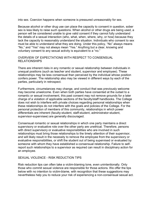into sex. Coercion happens when someone is pressured unreasonably for sex.

Because alcohol or other drug use can place the capacity to consent in question, sober sex is less likely to raise such questions. When alcohol or other drugs are being used, a person will be considered unable to give valid consent if they cannot fully understand the details of a sexual interaction (who, what, when, where, why, or how) because they lack the capacity to reasonably understand the situation. Individuals who consent to sex must be able to understand what they are doing. Under this policy, "No" always means "No," and "Yes" may not always mean "Yes." Anything but a clear, knowing and voluntary consent to any sexual activity is equivalent to a "no."

### OVERVIEW OF EXPECTATIONS WITH RESPECT TO CONSENSUAL RELATIONSHIPS

There are inherent risks in any romantic or sexual relationship between individuals in unequal positions (such as teacher and student, supervisor and employee). These relationships may be less consensual than perceived by the individual whose position confers power. The relationship also may be viewed in different ways by each of the parties, particularly in retrospect.

Furthermore, circumstances may change, and conduct that was previously welcome may become unwelcome. Even when both parties have consented at the outset to a romantic or sexual involvement, this past consent may not remove grounds for a later charge of a violation of applicable sections of the faculty/staff handbooks. The College does not wish to interfere with private choices regarding personal relationships when these relationships do not interfere with the goals and policies of the College. For the personal protection of members of this community, relationships in which power differentials are inherent (faculty-student, staff-student, administrator-student, supervisor-supervisee) are generally discouraged.

Consensual romantic or sexual relationships in which one party maintains a direct supervisory or evaluative role over the other party are unethical. Therefore, persons with direct supervisory or evaluative responsibilities who are involved in such relationships must bring those relationships to the timely attention of their supervisor, and will likely result in the necessity to remove the employee from the supervisory or evaluative responsibilities, or shift the student out of being supervised or evaluated by someone with whom they have established a consensual relationship. Failure to selfreport such relationships to a supervisor as required can result in disciplinary action for an employee.

#### SEXUAL VIOLENCE - RISK REDUCTION TIPS

Risk reduction tips can often take a victim-blaming tone, even unintentionally. Only those who commit sexual violence are responsible for those actions. We offer the tips below with no intention to victim-blame, with recognition that these suggestions may nevertheless help you to reduce your risk of experiencing a non-consensual sexual act.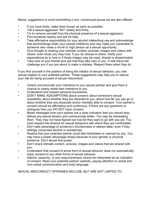Below, suggestions to avoid committing a non- consensual sexual act are also offered:

- If you have limits, make them known as early as possible.
- Tell a sexual aggressor "NO" clearly and firmly.
- Try to remove yourself from the physical presence of a sexual aggressor.
- Find someone nearby and ask for help.
- Take affirmative responsibility for your alcohol intake/drug use and acknowledge that alcohol/drugs lower your sexual inhibitions and may make you vulnerable to someone who views a drunk or high person as a sexual opportunity.
- Give thought to sharing your intimate content, pictures, images and videos with others, even those you may trust. If you do choose to share, clarify your expectations as to how or if those images may be used, shared or disseminated.
- Take care of your friends and ask that they take care of you. A real friend will challenge you if you are about to make a mistake. Respect them when they do.

If you find yourself in the position of being the initiator of sexual behavior, you owe sexual respect to your potential partner. These suggestions may help you to reduce your risk for being accused of sexual misconduct:

- Clearly communicate your intentions to your sexual partner and give them a chance to clearly relate their intentions to you.
- Understand and respect personal boundaries.
- DON'T MAKE ASSUMPTIONS about consent; about someone's sexual availability; about whether they are attracted to you; about how far you can go or about whether they are physically and/or mentally able to consent. Your partner's consent should be affirmative and continuous. If there are any questions or ambiguity then you DO NOT have consent.
- Mixed messages from your partner are a clear indication that you should stop, defuse any sexual tension and communicate better. You may be misreading them. They may not have figured out how far they want to go with you yet. You must respect the timeline for sexual behaviors with which they are comfortable.
- Don't take advantage of someone's drunkenness or altered state, even if they willingly consumed alcohol or substances.
- Realize that your potential partner could feel intimidated or coerced by you. You may have a power advantage simply because of your gender or physical presence. Don't abuse that power.
- Don't share intimate content, pictures, images and videos that are shared with you.
- Understand that consent to some form of sexual behavior does not automatically imply consent to any other forms of sexual behavior.
- Silence, passivity, or non-responsiveness cannot be interpreted as an indication of consent. Read your potential partner carefully, paying attention to verbal and non-verbal communication and body language.

SEXUAL MISCONDUCT OFFENSES INCLUDE, BUT ARE NOT LIMITED TO: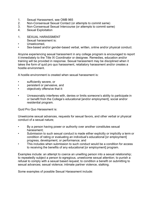- 1. Sexual Harassment, see OMB 965
- 2. Non-Consensual Sexual Contact (or attempts to commit same)
- 3. Non-Consensual Sexual Intercourse (or attempts to commit same)
- 4. Sexual Exploitation
- 1. SEXUAL HARASSMENT
- Sexual harassment is:
- Unwelcomed.
- Sex-based and/or gender-based verbal, written, online and/or physical conduct.

Anyone experiencing sexual harassment in any college program is encouraged to report it immediately to the Title IX Coordinator or designee. Remedies, education and/or training will be provided in response. Sexual harassment may be disciplined when it takes the form of quid pro quo harassment, retaliatory harassment and/or creates a hostile environment.

A hostile environment is created when sexual harassment is:

- sufficiently severe, or
- persistent or pervasive, and
- objectively offensive that it:
- Unreasonably interferes with, denies or limits someone's ability to participate in or benefit from the College's educational [and/or employment], social and/or residential program.

Quid Pro Quo Harassment is:

Unwelcome sexual advances, requests for sexual favors, and other verbal or physical conduct of a sexual nature;

- By a person having power or authority over another constitutes sexual harassment;
- Submission to such sexual conduct is made either explicitly or implicitly a term or condition of rating or evaluating an individual's educational [or employment] progress, development, or performance; and
- This includes when submission to such conduct would be a condition for access to receiving the benefits of any educational [or employment] program.

Examples include: an attempt to coerce an unwilling person into a sexual relationship; to repeatedly subject a person to egregious, unwelcome sexual attention; to punish a refusal to comply with a sexual based request; to condition a benefit on submitting to sexual advances; sexual violence; intimate partner violence, stalking.

Some examples of possible Sexual Harassment include: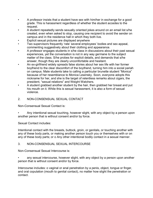- A professor insists that a student have sex with him/her in exchange for a good grade. This is harassment regardless of whether the student accedes to the request.
- A student repeatedly sends sexually oriented jokes around on an email list s/he created, even when asked to stop, causing one recipient to avoid the sender on campus and in the residence hall in which they both live.
- Explicit sexual pictures are displayed anywhere
- Two supervisors frequently 'rate' several employees' bodies and sex appeal, commenting suggestively about their clothing and appearance.
- A professor engages students in s/he class in discussions about their past sexual experiences, yet the conversation is not in any way germane to the subject matter of the class. S/he probes for explicit details, and demands that s/he answer, though they are clearly uncomfortable and hesitant.
- An ex-girlfriend widely spreads false stories about her sex life with her former boyfriend to the clear discomfort of the boyfriend, turning him into a social pariah on campus. Male students take to calling a particular brunette student "Monica" because of her resemblance to Monica Lewinsky. Soon, everyone adopts this nickname for her, and she is the target of relentless remarks about cigars, the president, "sexual relations" and Weight Watchers.
- A student grabbed another student by the hair, then grabbed her breast and put his mouth on it. While this is sexual harassment, it is also a form of sexual violence.

# 2. NON-CONSENSUAL SEXUAL CONTACT

Non-Consensual Sexual Contact is:

• Any intentional sexual touching, however slight, with any object by a person upon another person that is without consent and/or by force.

Sexual Contact includes:

Intentional contact with the breasts, buttock, groin, or genitals, or touching another with any of these body parts, or making another person touch you or themselves with or on any of these body parts; or o Any other intentional bodily contact in a sexual manner.

# 3. NON-CONSENSUAL SEXUAL INTERCOURSE

Non-Consensual Sexual Intercourse is:

any sexual intercourse, however slight, with any object by a person upon another person that is without consent and/or by force.

Intercourse includes: o vaginal or anal penetration by a penis, object, tongue or finger, and oral copulation (mouth to genital contact), no matter how slight the penetration or contact.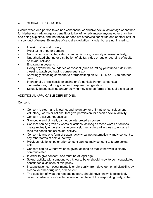# 4. SEXUAL EXPLOITATION

Occurs when one person takes non-consensual or abusive sexual advantage of another for his/her own advantage or benefit, or to benefit or advantage anyone other than the one being exploited, and that behavior does not otherwise constitute one of other sexual misconduct offenses. Examples of sexual exploitation include, but are not limited to:

- Invasion of sexual privacy;
- Prostituting another person;
- Non-consensual digital, video or audio recording of nudity or sexual activity;
- Unauthorized sharing or distribution of digital, video or audio recording of nudity or sexual activity;
- Engaging in voyeurism;
- Going beyond the boundaries of consent (such as letting your friend hide in the closet to watch you having consensual sex);
- Knowingly exposing someone to or transmitting an STI, STD or HIV to another person;
- Intentionally or recklessly exposing one's genitals in non-consensual circumstances; inducing another to expose their genitals;
- Sexually-based stalking and/or bullying may also be forms of sexual exploitation

# ADDITIONAL APPLICABLE DEFINITIONS:

Consent:

- Consent is clear, and knowing, and voluntary [or affirmative, conscious and voluntary], words or actions, that give permission for specific sexual activity.
- Consent is active, not passive.
- Silence, in and of itself, cannot be interpreted as consent.
- Consent can be given by words or actions, as long as those words or actions create mutually understandable permission regarding willingness to engage in (and the conditions of) sexual activity.
- Consent to any one form of sexual activity cannot automatically imply consent to any other forms of sexual activity.
- Previous relationships or prior consent cannot imply consent to future sexual acts.
- Consent can be withdrawn once given, as long as that withdrawal is clearly communicated.
- In order to give consent, one must be of legal age.
- Sexual activity with someone you know to be or should know to be incapacitated constitutes a violation of this policy.
- Incapacitation can occur mentally or physically, from developmental disability, by alcohol or other drug use, or blackout.
- The question of what the responding party should have known is objectively based on what a reasonable person in the place of the responding party, sober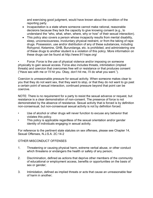and exercising good judgment, would have known about the condition of the reporting party.

- Incapacitation is a state where someone cannot make rational, reasonable decisions because they lack the capacity to give knowing consent (e.g., to understand the "who, what, when, where, why or how" of their sexual interaction).
- This policy also covers a person whose incapacity results from mental disability, sleep, unconsciousness, involuntary physical restraint, or from the taking of rape drugs. Possession, use and/or distribution of any of these substances, including Rohypnol, Ketamine, GHB, Burundanga, etc. is prohibited, and administering one of these drugs to another student is a violation of this policy. More information on these drugs can be found at http://www.911rape.org/

Force: Force is the use of physical violence and/or imposing on someone physically to gain sexual access. Force also includes threats, intimidation (implied threats) and coercion that overcomes free will or resistance or that produces consent ("Have sex with me or I'll hit you. Okay, don't hit me, I'll do what you want.").

Coercion is unreasonable pressure for sexual activity. When someone makes clear to you that they do not want sex, that they want to stop, or that they do not want to go past a certain point of sexual interaction, continued pressure beyond that point can be coercive.

NOTE: There is no requirement for a party to resist the sexual advance or request, but resistance is a clear demonstration of non-consent. The presence of force is not demonstrated by the absence of resistance. Sexual activity that is forced is by definition non-consensual, but non-consensual sexual activity is not by definition forced.

- Use of alcohol or other drugs will never function to excuse any behavior that violates this policy.
- This policy is applicable regardless of the sexual orientation and/or gender identity of individuals engaging in sexual activity.

For reference to the pertinent state statutes on sex offenses, please see Chapter 14, Sexual Offenses, N.J.S.A. 2C:14-2

# OTHER MISCONDUCT OFFENSES

- 1. Threatening or causing physical harm, extreme verbal abuse, or other conduct which threatens or endangers the health or safety of any person;
- 2. Discrimination, defined as actions that deprive other members of the community of educational or employment access, benefits or opportunities on the basis of sex or gender;
- 3. Intimidation, defined as implied threats or acts that cause an unreasonable fear of harm in another;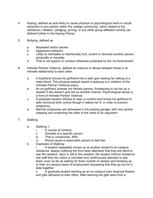- 4. Hazing, defined as acts likely to cause physical or psychological harm or social ostracism to any person within the college community, when related to the admission, initiation, pledging, joining, or any other group-affiliation activity (as defined further in the Hazing Policy);
- 5. Bullying, defined as
	- a. Repeated and/or severe
	- b. Aggressive behavior
	- c. Likely to intimidate or intentionally hurt, control or diminish another person, physically or mentally
	- d. That is not speech or conduct otherwise protected by the 1st Amendment.
- 6. Intimate Partner Violence, defined as violence or abuse between those in an intimate relationship to each other;
	- a. A boyfriend shoves his girlfriend into a wall upon seeing her talking to a male friend. This physical assault based in jealousy is a violation of the Intimate Partner Violence policy.
	- b. An ex-girlfriend shames her female partner, threatening to out her as a lesbian if she doesn't give the ex another chance. Psychological abuse is a form of Intimate Partner Violence.
	- c. A graduate student refuses to wear a condom and forces his girlfriend to take hormonal birth control though it makes her ill, in order to prevent pregnancy.
	- d. Married employees are witnessed in the parking garage, with one partner slapping and scratching the other in the midst of an argument.

# 7. Stalking

- a. Stalking 1:
	- i. A course of conduct
	- ii. Directed at a specific person
	- iii. That is unwelcome, AND
	- iv. Would cause a reasonable person to feel fear
- b. Examples of Stalking:
	- i. A student repeatedly shows up at another student's on-campus residence, always notifying the front desk attendant that they are there to see the resident. Upon a call to the resident, the student informs residence hall staff that this visitor is uninvited and continuously attempts to see them, even so far as waiting for them outside of classes and showing up to their on-campus place of employment requesting that they go out on a date together.

ii. A graduate student working as an on-campus tutor received flowers and gifts delivered to their office. After learning the gifts were from a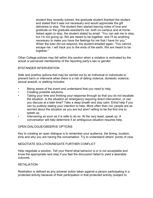student they recently tutored, the graduate student thanked the student and stated that it was not necessary and would appreciate the gift deliveries to stop. The student then started leaving notes of love and gratitude on the graduate assistant's car, both on-campus and at home. Asked again to stop, the student stated by email: "You can ask me to stop, but I'm not giving up. We are meant to be together, and I'll do anything necessary to make you have the feelings for me that I have for you." When the tutor did not respond, the student emailed again, "You cannot escape me. I will track you to the ends of the earth. We are meant to be together."

Other College policies may fall within this section when a violation is motivated by the actual or perceived membership of the reporting party's sex or gender.

### BYSTANDER INTERVENTION

Safe and positive options that may be carried out by an individual or individuals to prevent harm or intervene when there is a risk of dating violence, domestic violence, sexual assault, or stalking includes:

- Being aware of the event and understand that you need to help.
- Creating possible solutions.
- Taking your time and thinking your response through so that you do not escalate the situation. Is the situation an emergency requiring direct intervention, or can you discuss at a later time? Take a deep breath and stay calm. Enlist help if you can by publicly stating your intention to help. More often than not, people are as worried about the situation as you are but aren't willing to be the first one to speak up.
- Intervening as soon as it is safe to do so. At the very least, speak up. A conversation will help determine if an ambiguous situation requires help.

#### OPEN DIALOGUE/OBSERVE OPTIONS

Key to creating an open dialogue is to remember your audience, the timing, location, tone and why you are having the conversation. Try to understand others' points of view.

#### NEGOTIATE SOLUTION/NEGATE FURTHER CONFLICT

Help negotiate a solution. Tell your friend what behavior is or is not acceptable and know the appropriate next step if you feel the discussion failed to yield a desirable outcome.

#### RETALIATION

Retaliation is defined as any adverse action taken against a person participating in a protected activity because of their participation in that protected activity (subject to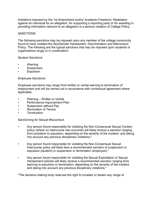limitations imposed by the 1st Amendment and/or Academic Freedom). Retaliation against an individual for an allegation, for supporting a reporting party or for assisting in providing information relevant to an allegation is a serious violation of College Policy.

### **SANCTIONS**

The following sanctions may be imposed upon any member of the college community found to have violated the Sex/Gender Harassment, Discrimination and Misconduct Policy. The following are the typical sanctions that may be imposed upon students or organizations singly or in combination:

#### Student Sanctions

- Warning
- Suspension
- **Expulsion**

#### Employee Sanctions

Employee sanctions may range from written or verbal warning to termination of employment and will be carried out in accordance with contractual agreement where applicable.

- Warning Written or Verbal
- Performance Improvement Plan
- Suspension without Pay
- Revocation of Tenure
- **Termination**

#### Sanctioning for Sexual Misconduct

- Any person found responsible for violating the Non-Consensual Sexual Contact policy (where no intercourse has occurred) will likely receive a sanction ranging from probation to expulsion, depending on the severity of the incident, and taking into account any previous disciplinary violations.\*
- Any person found responsible for violating the Non-Consensual Sexual Intercourse policy will likely face a recommended sanction of suspension or expulsion (student) or suspension or termination (employee).\*
- Any person found responsible for violating the Sexual Exploitation or Sexual Harassment policies will likely receive a recommended sanction ranging from warning to expulsion or termination, depending on the severity of the incident, and taking into account any previous disciplinary violations.\*

\*The decision-making body reserves the right to broaden or lessen any range of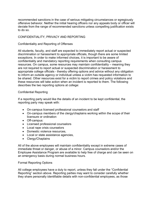recommended sanctions in the case of serious mitigating circumstances or egregiously offensive behavior. Neither the initial hearing officers nor any appeals body or officer will deviate from the range of recommended sanctions unless compelling justification exists to do so.

# CONFIDENTIALITY, PRIVACY AND REPORTING

#### Confidentiality and Reporting of Offenses

All students, faculty, and staff are expected to immediately report actual or suspected discrimination or harassment to appropriate officials, though there are some limited exceptions. In order to make informed choices, it is important to be aware of confidentiality and mandatory reporting requirements when consulting campus resources. On campus, some resources may maintain confidentiality – meaning they are not required to report actual or suspected discrimination or harassment to appropriate college officials - thereby offering options and advice without any obligation to inform an outside agency or individual unless a victim has requested information to be shared. Other resources exist for a victim to report crimes and policy violations and these resources will take action when an incident is reported to them. The following describes the two reporting options at college:

#### Confidential Reporting

If a reporting party would like the details of an incident to be kept confidential, the reporting party may speak with:

- On-campus licensed professional counselors and staff
- On-campus members of the clergy/chaplains working within the scope of their licensure or ordination
- Off-campus:
- Licensed professional counselors
- Local rape crisis counselors
- Domestic violence resources.
- Local or state assistance agencies,
- Clergy/Chaplains

All of the above employees will maintain confidentiality except in extreme cases of immediate threat or danger, or abuse of a minor. Campus counselors and/or the Employee Assistance Program are available to help free of charge and can be seen on an emergency basis during normal business hours.

#### Formal Reporting Options

All college employees have a duty to report, unless they fall under the "Confidential Reporting" section above. Reporting parties may want to consider carefully whether they share personally identifiable details with non-confidential employees, as those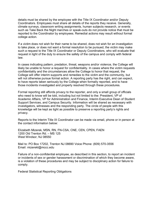details must be shared by the employee with the Title IX Coordinator and/or Deputy Coordinators. Employees must share all details of the reports they receive. Generally, climate surveys, classroom writing assignments, human subjects research, or events such as Take Back the Night marches or speak-outs do not provide notice that must be reported to the Coordinator by employees. Remedial actions may result without formal college action.

If a victim does not wish for their name to be shared, does not wish for an investigation to take place, or does not want a formal resolution to be pursued, the victim may make such a request to the Title IX Coordinator or Deputy Coordinators, who will evaluate that request in light of the duty to ensure the safety of the campus and comply with federal law.

In cases indicating pattern, predation, threat, weapons and/or violence, the College will likely be unable to honor a request for confidentiality. In cases where the victim requests confidentiality and the circumstances allow the College to honor that request, the College will offer interim supports and remedies to the victim and the community, but will not otherwise pursue formal action. A reporting party has the right, and can expect, to have reports taken seriously by the College when formally reported, and to have those incidents investigated and properly resolved through these procedures.

Formal reporting still affords privacy to the reporter, and only a small group of officials who need to know will be told, including but not limited to the: President, VP of Academic Affairs, VP for Administration and Finance, Interim Executive Dean of Student Support Services, and Campus Security. Information will be shared as necessary with investigators, witnesses and the responding party. The circle of people with this knowledge will be kept as tight as possible to preserve a reporting party's rights and privacy.

Reports to the Interim Title IX Coordinator can be made via email, phone or in person at the contact information below:

Elizabeth Mizerek, MSN, RN, FN-CSA, CNE, CEN, CPEN, FAEN 1200 Old Trenton Rd. – MS 125 West Windsor, NJ 08550

Mail to: PO Box 17202, Trenton NJ 08690 Voice Phone: (609) 570-3556 Email: mizerekl@mccc.edu

Failure of a non-confidential employee, as described in this section, to report an incident or incidents of sex or gender harassment or discrimination of which they become aware, is a violation of these procedures and may be subject to disciplinary action for failure to comply.

Federal Statistical Reporting Obligations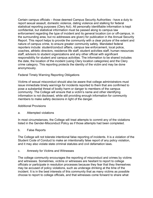Certain campus officials – those deemed Campus Security Authorities - have a duty to report sexual assault, domestic violence, dating violence and stalking for federal statistical reporting purposes (Clery Act). All personally identifiable information is kept confidential, but statistical information must be passed along to campus law enforcement regarding the type of incident and its general location (on or off-campus, in the surrounding area, but no addresses are given) for publication in the Annual Security Report. This report helps to provide the community with a clear picture of the extent and nature of campus crime, to ensure greater community safety. Mandated federal reporters include: student/conduct affairs, campus law enforcement, local police, coaches, athletic directors, residence life staff, student activities staff, human resources staff, advisors to student organizations and any other official with significant responsibility for student and campus activities. The information to be shared includes the date, the location of the incident (using Clery location categories) and the Clery crime category. This reporting protects the identity of the victim and may be done anonymously.

### Federal Timely Warning Reporting Obligations

Victims of sexual misconduct should also be aware that college administrators must issue immediate timely warnings for incidents reported to them that are confirmed to pose a substantial threat of bodily harm or danger to members of the campus community. The College will ensure that a victim's name and other identifying information is not disclosed, while still providing enough information for community members to make safety decisions in light of the danger.

#### Additional Provisions

a. Attempted violations

In most circumstances, the College will treat attempts to commit any of the violations listed in the Gender-Misconduct Policy as if those attempts had been completed.

#### b. False Reports

The College will not tolerate intentional false reporting of incidents. It is a violation of the Student Code of Conduct to make an intentionally false report of any policy violation, and it may also violate state criminal statutes and civil defamation laws.

#### c. Amnesty for Victims and Witnesses

The college community encourages the reporting of misconduct and crimes by victims and witnesses. Sometimes, victims or witnesses are hesitant to report to college officials or participate in resolution processes because they fear that they themselves may be accused of policy violations, such as underage drinking at the time of the incident. It is in the best interests of this community that as many victims as possible choose to report to college officials, and that witnesses come forward to share what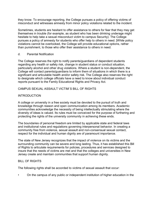they know. To encourage reporting, the College pursues a policy of offering victims of misconduct and witnesses amnesty from minor policy violations related to the incident.

Sometimes, students are hesitant to offer assistance to others for fear that they may get themselves in trouble (for example, as student who has been drinking underage might hesitate to help take a sexual misconduct victim to campus Security). The College pursues a policy of amnesty for students who offer help to others in need. [While policy violations cannot be overlooked, the College will provide educational options, rather than punishment, to those who offer their assistance to others in need.

d. Parental Notification

The College reserves the right to notify parents/guardians of dependent students regarding any health or safety risk, change in student status or conduct situation, particularly alcohol and other drug violations. Where a student is non-dependent, the College will contact parents/guardians to inform them of situations in which there is a significant and articulable health and/or safety risk. The College also reserves the right to designate which college officials have a need to know about individual conduct reports pursuant to the Family Educational Rights and Privacy Act.

# CAMPUS SEXUAL ASSAULT VICTIM`S BILL OF RIGHTS

# INTRODUCTION

A college or university in a free society must be devoted to the pursuit of truth and knowledge through reason and open communication among its members. Academic communities acknowledge the necessity of being intellectually stimulating where the diversity of ideas is valued. Its rules must be conceived for the purpose of furthering and protecting the rights of the university community in achieving these ends.

The boundaries of personal freedom are limited by applicable state and federal laws and institutional rules and regulations governing interpersonal behavior. In creating a community free from violence, sexual assault and non-consensual sexual contact, respect for the individual and human dignity are of paramount importance.

The state of New Jersey recognizes that the impact of violence on its victims and the surrounding community can be severe and long lasting. Thus, it has established this Bill of Rights to articulate requirements for policies, procedures and services designed to insure that the needs of victims are met and that the colleges and universities in New Jersey create and maintain communities that support human dignity.

# BILL OF RIGHTS

The following rights shall be accorded to victims of sexual assault that occur:

• On the campus of any public or independent institution of higher education in the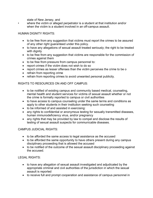state of New Jersey, and

• where the victim or alleged perpetrator is a student at that institution and/or when the victim is a student involved in an off-campus assault.

# HUMAN DIGNITY RIGHTS:

- to be free from any suggestion that victims must report the crimes to be assured of any other right guaranteed under this policy.
- to have any allegations of sexual assault treated seriously; the right to be treated with dignity
- to be free from any suggestion that victims are responsible for the commission of crimes against them
- to be free from pressure from campus personnel to:
- report crimes if the victim does not wish to do so
- report crimes as lesser offenses than the victim perceives the crime to be o
- refrain from reporting crime
- refrain from reporting crimes to avoid unwanted personal publicity.

### RIGHTS TO RESOURCES ON AND OFF CAMPUS:

- to be notified of existing campus and community based medical, counseling, mental health and student services for victims of sexual assault whether or not the crime is formally reported to campus or civil authorities
- to have access to campus counseling under the same terms and conditions as apply to other students in their institution seeking such counseling
- to be informed of and assisted in exercising:
- any rights to confidential or anonymous testing for sexually transmitted diseases, human immunodeficiency virus, and/or pregnancy
- any rights that may be provided by law to compel and disclose the results of testing of sexual assault suspects for communicable diseases.

#### CAMPUS JUDICIAL RIGHTS:

- to be afforded the same access to legal assistance as the accused
- to be afforded the same opportunity to have others present during any campus disciplinary proceeding that is allowed the accused
- to be notified of the outcome of the sexual assault disciplinary proceeding against the accused.

LEGAL RIGHTS:

- to have any allegation of sexual assault investigated and adjudicated by the appropriate criminal and civil authorities of the jurisdiction in which the sexual assault is reported
- to receive full and prompt cooperation and assistance of campus personnel in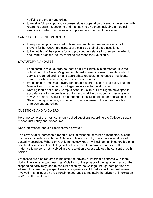notifying the proper authorities

• to receive full, prompt, and victim-sensitive cooperation of campus personnel with regard to obtaining, securing and maintaining evidence, including a medical examination when it is necessary to preserve evidence of the assault.

#### CAMPUS INTERVENTION RIGHTS:

- to require campus personnel to take reasonable and necessary actions to prevent further unwanted contact of victims by their alleged assailants
- to be notified of the options for and provided assistance in changing academic and living situations if such changes are reasonably available.

### STATUTORY MANDATES:

- Each campus must guarantee that this Bill of Rights is implemented. It is the obligation of the College's governing board to examine resources dedicated to services required and to make appropriate requests to increase or reallocate resources where necessary to ensure implementation
- Each campus shall make every reasonable effort to ensure that every student at Mercer County Community College has access to this document
- Nothing in this act or any Campus Assault Victim`s Bill of Rights developed in accordance with the provisions of this act, shall be construed to preclude or in any way restrict any public or independent institution of higher education in the State from reporting any suspected crime or offense to the appropriate law enforcement authorities.

#### QUESTIONS AND ANSWERS

Here are some of the most commonly asked questions regarding the College's sexual misconduct policy and procedures.

Does information about a report remain private?

The privacy of all parties to a report of sexual misconduct must be respected, except insofar as it interferes with the College's obligation to fully investigate allegations of sexual misconduct. Where privacy is not strictly kept, it will still be tightly controlled on a need-to-know basis. The College will not disseminate information and/or written materials to persons not involved in the resolution process without the consent of both parties.

Witnesses are also required to maintain the privacy of information shared with them during interviews and/or hearings. Violations of the privacy of the reporting party or the responding party may lead to conduct action by the College, though both parties are allowed to share their perspectives and experiences. All parties, including witnesses, involved in an allegation are strongly encouraged to maintain the privacy of information and/or written materials.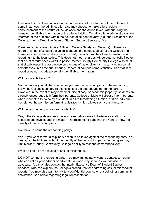In all resolutions of sexual misconduct, all parties will be informed of the outcome. In some instances, the administration also may choose to make a brief public announcement of the nature of the violation and the action taken, without using the name or identifiable information of the alleged victim. Certain college administrators are informed of the outcome within the bounds of student privacy (e.g., the President of the College, Interim Executive Dean of Student Support Services, Vice

President for Academic Affairs, Office of College Safety and Security). If there is a report of an act of alleged sexual misconduct to a conduct officer of the College and there is evidence that a felony has occurred, the victim will be offered assistance in reporting it to the local police. This does not mean charges will be automatically filed or that a victim must speak with the police. Mercer County Community College also must statistically report the occurrence on campus of major violent crimes, including certain sex offenses, in an "Annual Security Report" of campus crime statistics. This statistical report does not include personally identifiable information.

Will my parents be told?

No, not unless you tell them. Whether you are the reporting party or the responding party, the College's primary relationship is to the student and not to the parent. However, in the event of major medical, disciplinary, or academic jeopardy, students are strongly encouraged to inform their parents. College officials will directly inform parents when requested to do so by a student, in a life-threatening situation, or if an individual has signed the permission form at registration which allows such communication.

Will the responding party know my identity?

Yes, if the College determines there is reasonable cause to believe a violation has occurred and investigates the matter. The responding party has the right to know the identity of the reporting party.

Do I have to name the responding party?

Yes, if you want formal disciplinary action to be taken against the responding party. You can report the incident without the identity of the responding party, but doing so may limit Mercer County Community College's ability to respond comprehensively.

What do I do if I am accused of sexual misconduct?

DO NOT contact the reporting party. You may immediately want to contact someone who can act as your advisor or advocate; anyone may serve as your advisor or advocate. You may also contact the Interim Executive Dean of Student Support Services, who can explain the College's procedures for addressing sexual misconduct reports. You may also want to talk to a confidential counselor or seek other community assistance. See below regarding legal representation.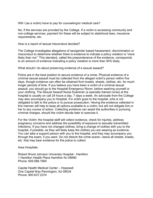Will I (as a victim) have to pay for counseling/or medical care?

No, if the services are provided by the College. If a victim is accessing community and non-college services, payment for these will be subject to state/local laws, insurance requirements, etc.

How is a report of sexual misconduct decided?

The College investigates allegations of sex/gender based harassment, discrimination or misconduct to determine whether there is evidence to indicate a policy violation is "more likely than not." This standard, called the preponderance of the evidence, corresponds to an amount of evidence indicating a policy violation is more than 50% likely.

What should I do about preserving evidence of a sexual assault?

Police are in the best position to secure evidence of a crime. Physical evidence of a criminal sexual assault must be collected from the alleged victim's person within five days, though evidence can often be obtained from towels, sheets, clothes, etc. for much longer periods of time. If you believe you have been a victim of a criminal sexual assault, you should go to the Hospital Emergency Room, before washing yourself or your clothing. The Sexual Assault Nurse Examiner (a specially trained nurse) at the hospital is usually on call 24 hours a day, 7 days a week. An advocate from the College may also accompany you to Hospital. If a victim goes to the hospital, s/he is not obligated to talk to the police or to pursue prosecution. Having the evidence collected in this manner will help to keep all options available to a victim, but will not obligate him or her to any course of action. Collecting evidence can assist the authorities in pursuing criminal charges, should the victim decide later to exercise it.

For the Victim: the hospital staff will collect evidence, check for injuries, address pregnancy concerns and address the possibility of exposure to sexually transmitted infections. If you have not changed clothes, bring a change of clothes with you to the hospital, if possible, as they will likely keep the clothes you are wearing as evidence. You can take a support person with you to the hospital, and they may accompany you through the exam, if you want. Do not disturb the crime scene—leave all sheets, towels, etc. that may bear evidence for the police to collect.

Area Hospitals:

Robert Wood Johnson University Hospital - Hamilton 1 Hamilton Health Place Hamilton NJ 08690 Phone: 609.586.7900

Capital Health Medical Center – Hopewell One Capital Way Pennington, NJ 08534 Phone: 800.637.2374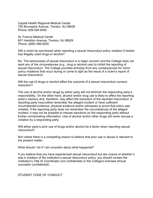Capital Health Regional Medical Center 750 Brunswick Avenue, Trenton, NJ 08638 Phone: 609.394.6000

St. Francis Medical Center 601 Hamilton Avenue, Trenton, NJ 08629 Phone: (609) 599-5000

Will a victim be sanctioned when reporting a sexual misconduct policy violation if he/she has illegally used drugs or alcohol?

No. The seriousness of sexual misconduct is a major concern and the College does not want any of the circumstances (e.g., drug or alcohol use) to inhibit the reporting of sexual misconduct. The College provides amnesty from any consequences for minor policy violations that occur during or come to light as the result of a victim's report of sexual misconduct.

Will the use of drugs or alcohol affect the outcome of a sexual misconduct conduct resolution?

The use of alcohol and/or drugs by either party will not diminish the responding party's responsibility. On the other hand, alcohol and/or drug use is likely to affect the reporting party's memory and, therefore, may affect the resolution of the reported misconduct. A reporting party must either remember the alleged incident or have sufficient circumstantial evidence, physical evidence and/or witnesses to prove that policy was violated. If the reporting party does not remember the circumstances of the alleged incident, it may not be possible to impose sanctions on the responding party without further corroborating information. Use of alcohol and/or other drugs will never excuse a violation by a responding party.

Will either party's prior use of drugs and/or alcohol be a factor when reporting sexual misconduct?

Not unless there is a compelling reason to believe that prior use or abuse is relevant to the present matter.

What should I do if I am uncertain about what happened?

If you believe that you have experienced sexual misconduct but are unsure of whether it was a violation of the institution's sexual misconduct policy, you should contact the institution's Title IX Coordinator (not confidential) or the College's licensed clinical counselor (confidential).

STUDENT CODE OF CONDUCT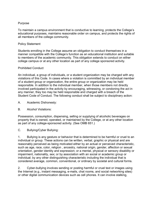#### Purpose

To maintain a campus environment that is conductive to learning, protects the College's educational purposes, maintains reasonable order on campus, and protects the rights of all members of the college community.

#### Policy Statement

Students enrolling in the College assume an obligation to conduct themselves in a manner compatible with the College's function as an educational institution and suitable to members of the academic community. This obligation extends to conduct on either college campus or at any other location as part of any college sponsored activity.

#### Prohibited Conduct

An individual, a group of individuals, or a student organization may be charged with any violations of this Code. In cases where a violation is committed by an individual member of a student group or organization, the entire group or organization may be held responsible. In addition to the individual member, when those members not directly involved participated in the activity by encouraging, witnessing, or condoning the act in any manner, they too may be held responsible and charged with a breach of the Student Code of Conduct. The following conduct shall be subject to disciplinary action:

- A. Academic Dishonesty:
- B. Alcohol Violations:

Possession, consumption, dispensing, selling or supplying of alcoholic beverages on property that is owned, operated, or maintained by the College, or at any other location as part of any college-sponsored activity. (See OMB 651.)

C. Bullying/Cyber Bullying:

1. Bullying is any gesture or behavior that is determined to be harmful or cruel to an individual or group. These actions can be written, verbal, graphic or physical and are reasonably perceived as being motivated either by an actual or perceived characteristic, such as age, race, color, religion , ancestry, national origin, gender, affection or sexual orientation, gender identity and expression; or a mental, physical or sensory disability or impairment, nationality, sex; or by association with an social or academic group or individual; by any other distinguishing characteristic including the individual that is considered average, common, conventional, or ordinary by societal and cultural forms.

2. Cyber-bullying involves sending or posting harmful or cruel text or images using the Internet (e.g., instant messaging, e-mails, chat rooms, and social networking sites) or other digital communication devices such as cell phones. It can involve stalking,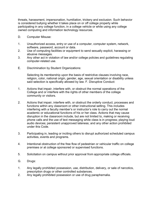threats, harassment, impersonation, humiliation, trickery and exclusion. Such behavior is considered bullying whether it takes place on or off college property while participating in any college function, in a college vehicle or while using any college owned computing and information technology resources.

- D. Computer Misuse:
- 1. Unauthorized access, entry or use of a computer, computer system, network, software, password, account or data.
- 2. Use of computing facilities or equipment to send sexually explicit, harassing or abusive messages.
- 3. Any other act in violation of law and/or college policies and guidelines regulating computer-related use.
- E. Discrimination by Student Organizations:

Selecting its membership upon the basis of restrictive clauses involving race, religion, color, national origin, gender, age, sexual orientation or disability unless said selection is specifically allowed by law. F. Disruptive Conduct:

- 1. Actions that impair, interfere with, or obstruct the normal operations of the College and or interfere with the rights of other members of the college community or visitors.
- 2. Actions that impair, interfere with, or obstruct the orderly conduct, processes and functions within any classroom or other instructional setting. This includes interfering with a faculty member's or instructor's role to carry out the normal academic or educational functions of his or her class. Actions that may cause disruption in the classroom include, but are not limited to, making or receiving phone calls and the use of text messaging while class is in progress; playing loud audio devices; persistent unapproved lateness; and any other action prohibited under this Code.
- 3. Participating in, leading or inciting others to disrupt authorized scheduled campus activities, events and programs.
- 4. Intentional obstruction of the free flow of pedestrian or vehicular traffic on college premises or at college sponsored or supervised functions.
- 5. Solicitation on campus without prior approval from appropriate college officials.
- G. Drugs:
- 1. Any legally prohibited possession, use, distribution, delivery, or sale of narcotics, prescription drugs or other controlled substances.
- 2. Any legally prohibited possession or use of drug paraphernalia.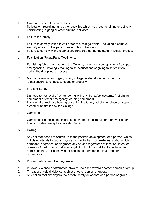- H. Gang and other Criminal Activity: Solicitation, recruiting, and other activities which may lead to joining or actively participating in gang or other criminal activities.
- I. Failure to Comply:
- 1. Failure to comply with a lawful order of a college official, including a campus security officer, in the performance of his or her duty.
- 2. Failure to comply with the sanctions rendered during the student judicial process.
- J. Falsification /Fraud/False Testimony:
- 1. Furnishing false information to the College, including false reporting of campus emergencies, knowingly making false accusations or giving false testimony during the disciplinary process.
- 2. Misuse, alteration or forgery of any college related documents, records, identification, keys, access codes or property
- K. Fire and Safety:
- 1. Damage to, removal of, or tampering with any fire safety systems, firefighting equipment or other emergency warning equipment.
- 2. Intentional or reckless burning or setting fire to any building or piece of property owned or controlled by the College.
- L. Gambling:

Gambling or participating in games of chance on campus for money or other things of value, except as provided by law.

M. Hazing:

Any act that does not contribute to the positive development of a person, which inflicts or intends to cause physical or mental harm or anxieties, and/or which demeans, degrades, or disgraces any person regardless of location, intent or consent of participants that is an explicit or implicit condition for initiation to, admission into, affiliation with, or continued membership in a group or organization.

- N. Physical Abuse and Endangerment:
- 1. Physical violence or attempted physical violence toward another person or group.
- 2. Threat of physical violence against another person or group.
- 3. Any action that endangers the health, safety or welfare of a person or group.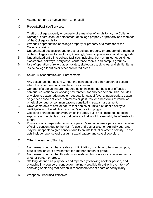- 4. Attempt to harm, or actual harm to, oneself.
- O. Property/Facilities/Services:
- 1. Theft of college property or property of a member of, or visitor to, the College.
- 2. Damage, destruction, or defacement of college property or property of a member of the College or visitor.
- 3. Wrongful appropriation of college property or property of a member of the College or visitor.
- 4. Unauthorized possession and/or use of college property or property of a member of the College or visitor, including knowingly being in possession of stolen goods.
- 5. Unauthorized entry into college facilities, including, but not limited to, buildings, classrooms, hallways, entryways, conference rooms, and campus grounds.
- 6. Use of operation of rollerblades, skates, skateboards, bicycles, and similar items inside college facilities or other prohibited areas.
- P. Sexual Misconduct/Sexual Harassment:
- 1. Any sexual act that occurs without the consent of the other person or occurs when the other person is unable to give consent.
- 2. Conduct of a sexual nature that creates an intimidating, hostile or offensive campus, educational or working environment for another person. This includes unwelcome sexual advances or requests for sexual favors, inappropriate sexual or gender-based activities, comments or gestures, or other forms of verbal or physical conduct or communications constituting sexual harassment.
- 3. Unwelcome acts of sexual nature that denies or limits a student's ability to participate in or benefit from a school's education program.
- 4. Obscene or indecent behavior, which includes, but is not limited to, indecent exposure or the display of sexual behavior that would reasonably be offensive to others.
- 5. Physicals acts perpetrated against a person's will or where a person is incapable of giving consent due to the victim's use of drugs or alcohol. An individual also may be incapable to give consent due to an intellectual or other disability. These acts include rape, sexual assault, sexual battery and sexual coercion.
- Q. Other Harassment/Stalking:
- 1. Non-sexual conduct that creates an intimidating, hostile, or offensive campus, educational or work environment for another person or group.
- 2. Non-sexual conduct that threatens, intimidates, humiliates, or otherwise harms another person or group.
- 3. Stalking, defined as purposely and repeatedly following another person, and engaging in a course of conduct or making a credible threat with the intent of annoying or placing that person in reasonable fear of death or bodily injury.
- R. Weapons/Firearms/Explosives: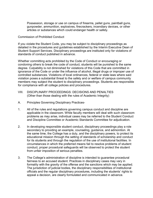Possession, storage or use on campus of firearms, pellet guns, paintball guns, gunpowder, ammunition, explosives, firecrackers, incendiary devices, or other articles or substances which could endanger health or safety.

#### Commission of Prohibited Conduct

If you violate the Student Code, you may be subject to disciplinary proceedings as detailed in the procedures and guidelines established by the Interim Executive Dean of Student Support Services. Disciplinary proceedings are instituted only for violations of standards of conduct published in advance.

Whether committing acts prohibited by the Code of Conduct or encouraging or condoning others to break the code of conduct, students will be punished to the same degree. Culpability is not diminished for violations of this Code that are committed in ignorance of the Code or under the influence of alcohol, illegal drugs or improper use of controlled substances. Violations of local ordinances, federal or state laws where said violation poses a substantial threat to the safety and or welfare of campus community members may subject the student to disciplinary proceedings. Students are responsible for compliance with all college policies and procedures.

- VIII. DISCIPLINARY PROCEEDINGS: DECISIONS AND PENALTIES (Other than those dealing with the rules of Academic Integrity)
- A. Principles Governing Disciplinary Practices-
- 1. All of the rules and regulations governing campus conduct and discipline are applicable in the classroom. While faculty members will deal with such classroom problems as may arise, individual cases may be referred to the Student Conduct and Discipline Committee or Academic Standards Committee for adjudication.
- 2. In developing responsible student conduct, disciplinary proceedings play a role secondary to providing an example, counseling, guidance, and admonition. At the same time, the College has a duty, and the disciplinary powers, to protect its educational mission through the setting of standards of scholarship and conduct for its students and through the regulation of the use of institutional facilities. In circumstances in which the preferred means fail to resolve problems of student conduct, proper procedural safeguards will be observed to protect the student from unfair imposition of serious penalties.
- 3. The College's administration of discipline is intended to guarantee procedural fairness to an accused student. Practices in disciplinary cases may vary in formality with the gravity of the offense and the sanctions which may be applied. The jurisdiction of judicial bodies, the disciplinary responsibilities of institutional officials and the regular disciplinary procedures, including the students' rights to appeal a decision, are clearly formulated and communicated in advance.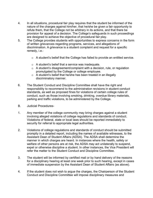- 4. In all situations, procedural fair play requires that the student be informed of the nature of the charges against him/her, that he/she be given a fair opportunity to refute them, that the College not be arbitrary in its actions, and that there be provision for appeal of a decision. The College's safeguards in such proceedings are designed to achieve the objective of procedural fair play.
- 5. The College provides students with opportunities to express concerns in the form of written grievances regarding programs, services, and allegations of discrimination. A grievance is a student complaint and request for a specific remedy, i.e.:
	- o A student's belief that the College has failed to provide an entitled service.
	- o A student's belief that a service was inadequate.
	- o A student's disagreement/complaint with a decision, rule, or regulation promulgated by the College or college employee.
	- $\circ$  A student's belief that he/she has been treated in an illegally discriminatory manner.
- 6. The Student Conduct and Discipline Committee shall have the right and responsibility to recommend to the administration revisions in student conduct standards, as well as proposed fines for violations of certain college rules of conduct, such as those involving smoking, drinking, overdue library materials, parking and traffic violations, to be administered by the College.
- B. Judicial Procedures-
- 1. Any member of the college community may bring charges against a student involving alleged violations of college regulations and standards of conduct. Violations of federal, state or local laws should be reported immediately to security for referral to appropriate legal authorities.
- 2. Violations of college regulations and standards of conduct should be submitted promptly in a detailed report, including the names of available witnesses, to the Assistant Dean of Student Affairs (ADSA). The ADSA shall determine the manner in which charges are heard. In instances where the health, safety or welfare of other persons are at risk, the ADSA may act unilaterally to suspend, expel or otherwise discipline a student. In other instances, the Vice President will refer the matter to the Student Conduct and Discipline Committee.
- 3. The student will be informed by certified mail or by hand delivery of the reasons for a disciplinary hearing at least one week prior to such hearing, except in cases of immediate suspension by the Assistant Dean of Student Affairs (as above).
- 4. If the student does not wish to argue the charges, the Chairperson of the Student Conduct and Discipline Committee will impose disciplinary measures and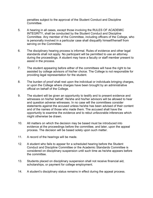penalties subject to the approval of the Student Conduct and Discipline Committee.

- 5. A hearing in all cases, except those involving the RULES OF ACADEMIC INTEGRITY, shall be conducted by the Student Conduct and Discipline Committee. Any member of the Committee, including officers of the College, who is personally involved in a particular case shall disqualify himself/herself from serving on the Committee.
- 6. The disciplinary hearing process is informal. Rules of evidence and other legal standards shall not apply. No participant will be permitted to use an attorney during the proceedings. A student may have a faculty or staff member present to assist in the process.
- 7. The student appearing before either of the committees will have the right to be assisted by college advisors of his/her choice. The College is not responsible for providing legal representation for the student.
- 8. The burden of proof shall rest upon the individual or individuals bringing charges, or upon the College where charges have been brought by an administrative official on behalf of the College.
- 9. The student will be given an opportunity to testify and to present evidence and witnesses on his/her behalf. He/she and his/her advisors will be allowed to hear and question adverse witnesses. In no case will the committees consider statements against the accused unless he/she has been advised of their content and of the names of those who made them. The accused shall have the opportunity to examine the evidence and to rebut unfavorable inferences which might otherwise be drawn.
- 10. All matters on which the decision may be based must be introduced into evidence at the proceedings before the committee, and later, upon the appeal process. The decision will be based solely upon such matter.
- 11. A record of the hearings will be made.
- 12. A student who fails to appear for a scheduled hearing before the Student Conduct and Discipline Committee or the Academic Standards Committee is considered on disciplinary suspension until such time as he/she appears before the committee.
- 13. Students placed on disciplinary suspension shall not receive financial aid, scholarships, or payment for college employment.
- 14. A student's disciplinary status remains in effect during the appeal process.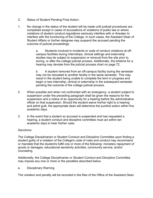- C. Status of Student Pending Final Action-
- 1. No change in the status of the student will be made until judicial procedures are completed except in cases of accusations of violations of public law or where violations of student conduct regulations seriously interfere with or threaten to interfere with the functioning of the College. In such cases, the Assistant Dean of Student Affairs or his/her designee may suspend the accused pending the outcome of judicial proceedings.

a. Students involved in incidents or code of conduct violations at offcampus facilities during internships, clinical settings and externship studies may be subject to suspension or removal from the site prior to, during, or after the college judicial process. Additionally, the timeline for a hearing may deviate from the judicial process chart on page 72.

b. A student removed from an off-campus facility during the semester may not be relocated to another facility in the same semester. This may result in the student being unable to complete the term in progress and begin a new internship, clinical or externship in the subsequent semester pending the outcome of the college judicial process.

- 2. When possible and when not confronted with an emergency, a student subject to suspension under the preceding paragraph shall be given the reasons for the suspension and a notice of an opportunity for a hearing before the administrative officer on that suspension. Should the student waive his/her right to a hearing and admit guilt, the appropriate dean will determine the punitive action within five academic days.
- 3. In the event that a student so accused is suspended and has requested a hearing, a student conduct and discipline committee must act within ten academic days to hear his/her case.

#### Sanctions:

The College Disciplinarian or Student Conduct and Discipline Committee upon finding a student guilty of a violation of the College's code of rules and conduct may recommend or mandate that the student/s fulfill one or more of the following: monetary repayment of goods or damages, educational sensitivity activities, community service, and/or counseling.

Additionally, the College Disciplinarian or Student Conduct and Discipline Committee may impose any one or more or the penalties described below.

a. Disciplinary Warning

The violation and penalty will be recorded in the files of the Office of the Assistant Dean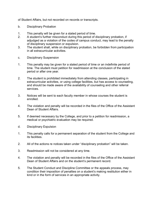of Student Affairs, but not recorded on records or transcripts.

- b. Disciplinary Probation
- 1. This penalty will be given for a stated period of time.
- 2. A student's further misconduct during this period of disciplinary probation, if adjudged as a violation of the codes of campus conduct, may lead to the penalty of disciplinary suspension or expulsion.
- 3. The student shall, while on disciplinary probation, be forbidden from participation in all extracurricular activities.
- c. Disciplinary Suspension
- 1. This penalty may be given for a stated period of time or an indefinite period of time. The student must petition for readmission at the conclusion of the stated period or after one year.
- 2. The student is prohibited immediately from attending classes, participating in extracurricular activities, or using college facilities, but has access to counseling, and should be made aware of the availability of counseling and other referral services.
- 3. Notices will be sent to each faculty member in whose courses the student is enrolled.
- 4. The violation and penalty will be recorded in the files of the Office of the Assistant Dean of Student Affairs.
- 5. If deemed necessary by the College, and prior to a petition for readmission, a medical or psychiatric evaluation may be required.
- d. Disciplinary Expulsion
- 1. This penalty calls for a permanent separation of the student from the College and its facilities.
- 2. All of the actions re notices taken under "disciplinary probation" will be taken.
- 3. Readmission will not be considered at any time.
- 4. The violation and penalty will be recorded in the files of the Office of the Assistant Dean of Student Affairs and on the student's permanent record.
- 5. The Student Conduct and Discipline Committee or the appeals process, may condition their imposition of penalties on a student's making restitution either in kind or in the form of services in an appropriate activity.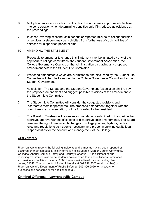- 6. Multiple or successive violations of codes of conduct may appropriately be taken into consideration when determining penalties only if introduced as evidence at the proceedings.
- 7. In cases involving misconduct in serious or repeated misuse of college facilities or services, a student may be prohibited from further use of such facilities of services for a specified period of time.
- IX. AMENDING THE STATEMENT
- 1. Proposals to amend or to change this Statement may be initiated by any of the appropriate college committees: the Student Government Association, the College Governance Council, or the administration by placing any proposed amendment before the Student Life Committee.
- 2. Proposed amendments which are submitted to and discussed by the Student Life Committee will then be forwarded to the College Governance Council and to the Student Government

Association. The Senate and the Student Government Association shall review the proposed amendment and suggest possible revisions of the amendment to the Student Life Committee.

- 3. The Student Life Committee will consider the suggested revisions and incorporate them if appropriate. The proposed amendment, together with the committee's recommendation, will be forwarded to the president.
- 4. The Board of Trustees will review recommendations submitted to it and will either approve, approve with modifications or disapprove such amendments. The Board reserves the right to make such changes in college policies, by-laws, codes, rules and regulations as it deems necessary and proper in carrying out its legal responsibilities for the conduct and management of the College.

#### **APPENDIX "A"-**

Rider University reports the following incidents and crimes as having been reported or occurred on their campuses. This information is included in Mercer County Community Colleges "Annual Campus Safety and Security Report 2018" in fulfilment of our reporting requirements as some students have elected to reside in Rider's dormitories and residency facilities located at 2083 Lawrenceville Road, Lawrenceville, New Jersey 09648. You can contact Rider University at 609.896.5000 (main number) or Rider University's Department of Public Safety at: 609.896.5029 for answers to questions and concerns or for additional detail.

# **Criminal Offenses – Lawrenceville Campus**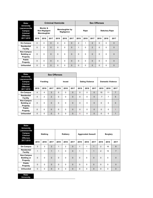| <b>Rider</b>                                                                |          |                                           |          | <b>Criminal Homicide</b> |                                      |                | <b>Sex Offenses</b> |          |                |                       |          |             |  |  |  |
|-----------------------------------------------------------------------------|----------|-------------------------------------------|----------|--------------------------|--------------------------------------|----------------|---------------------|----------|----------------|-----------------------|----------|-------------|--|--|--|
| <b>University</b><br>Lawrenceville<br>Campus<br>Criminal<br><b>Offenses</b> |          | Murder &<br>Non-Negligent<br>Manslaughter |          |                          | <b>Manslaughter by</b><br>Negligence |                |                     | Rape     |                | <b>Statutory Rape</b> |          |             |  |  |  |
| 2017-2019                                                                   | 2019     | 2018                                      | 2017     | 2019                     | 2018                                 | 2017           | 2019                | 2018     | 2017           | 2019                  | 2018     | 2017        |  |  |  |
| On-Campus                                                                   | $\Omega$ | $\Omega$                                  | $\Omega$ | $\Omega$                 | $\Omega$                             | $\Omega$       | $\overline{2}$      | 1        | $\overline{2}$ | $\Omega$              | $\Omega$ | $\mathbf 0$ |  |  |  |
| Residential<br>Facility                                                     | $\Omega$ | $\Omega$                                  | $\Omega$ | $\Omega$                 | $\Omega$                             | 0              | $\mathbf{1}$        | $\Omega$ | $\overline{2}$ | $\Omega$              | $\Omega$ | $\mathbf 0$ |  |  |  |
| Non-Campus<br><b>Building or</b><br>Property                                | $\Omega$ | $\Omega$                                  | $\Omega$ | $\Omega$                 | $\Omega$                             | $\overline{0}$ | $\mathbf 0$         | $\Omega$ | $\overline{0}$ | $\Omega$              | $\Omega$ | $\Omega$    |  |  |  |
| <b>Public</b><br>Property                                                   | $\Omega$ | $\Omega$                                  | $\Omega$ | $\Omega$                 | $\Omega$                             | $\Omega$       | $\Omega$            | $\Omega$ | $\Omega$       | $\Omega$              | $\Omega$ | $\Omega$    |  |  |  |
| <b>Unfounded</b>                                                            | 0        | $\Omega$                                  | $\Omega$ | $\Omega$                 | $\Omega$                             | 0              | $\Omega$            | $\Omega$ | $\Omega$       | $\Omega$              | $\Omega$ | $\mathbf 0$ |  |  |  |

| <b>Rider</b><br><b>University</b>            |                         |                 | <b>Sex Offenses</b> |          |               |             |          |                        |              |                          |          |                |  |
|----------------------------------------------|-------------------------|-----------------|---------------------|----------|---------------|-------------|----------|------------------------|--------------|--------------------------|----------|----------------|--|
| Lawrenceville<br>Campus<br>Criminal          |                         | <b>Fondling</b> |                     |          | <b>Incest</b> |             |          | <b>Dating Violence</b> |              | <b>Domestic Violence</b> |          |                |  |
| <b>Offenses</b><br>2017-2019                 | 2019                    | 2018            | 2017                | 2019     | 2018          | 2017        | 2019     | 2018                   | 2017         | 2019                     | 2018     | 2017           |  |
| On-Campus                                    | 4                       | 4               | 3                   | $\Omega$ | 0             | $\Omega$    | $\Omega$ | 0                      | $\Omega$     | 10                       | 11       | $\overline{7}$ |  |
| <b>Residential</b><br>Facility               | $\overline{\mathbf{4}}$ | $\overline{2}$  | 2                   | $\Omega$ | $\Omega$      | $\Omega$    | $\Omega$ | 0                      | $\Omega$     | 7                        | 7        | 5              |  |
| Non-Campus<br><b>Building or</b><br>Property | 0                       | $\Omega$        | $\Omega$            | $\Omega$ | $\mathbf 0$   | $\mathbf 0$ | $\Omega$ | 0                      | $\mathbf{0}$ | $\Omega$                 | $\Omega$ | 0              |  |
| <b>Public</b><br><b>Property</b>             | $\Omega$                | $\Omega$        | $\Omega$            | $\Omega$ | $\Omega$      | $\Omega$    | $\Omega$ | $\Omega$               | $\Omega$     | $\Omega$                 | 0        | 4              |  |
| <b>Unfounded</b>                             | $\Omega$                | $\Omega$        | $\Omega$            | $\Omega$ | $\Omega$      | $\Omega$    | $\Omega$ | 0                      | $\Omega$     | $\Omega$                 | $\Omega$ | $\mathbf{1}$   |  |

| Rider<br><b>University</b>                             |              |                 |                |              |             |              |                |                           |              |                 |             |                |  |  |
|--------------------------------------------------------|--------------|-----------------|----------------|--------------|-------------|--------------|----------------|---------------------------|--------------|-----------------|-------------|----------------|--|--|
| Lawrenceville<br>Campus<br>Criminal<br><b>Offenses</b> |              | <b>Stalking</b> |                |              | Robbery     |              |                | <b>Aggravated Assault</b> |              | <b>Burglary</b> |             |                |  |  |
| 2017-2019                                              | 2019         | 2018            | 2017           | 2019         | 2018        | 2017         | 2019           | 2018                      | 2017         | 2019            | 2018        | 2017           |  |  |
| On-Campus                                              | 3            | 3               | $\overline{2}$ | $\mathbf{1}$ | 2           | $\Omega$     | $\overline{1}$ | 1                         | 1            | 2               | 16          | 8              |  |  |
| Residential<br><b>Facility</b>                         | $\mathbf{1}$ | $\overline{2}$  | 1              | $\mathbf{1}$ | $\Omega$    | $\Omega$     | $\mathbf{1}$   | 1                         | $\mathbf{1}$ | $\overline{2}$  | 15          | $\overline{7}$ |  |  |
| Non-Campus<br><b>Building or</b><br>Property           | $\mathbf{0}$ | 0               | $\mathbf{0}$   | $\mathbf 0$  | $\Omega$    | $\Omega$     | $\mathbf 0$    | $\mathbf 0$               | $\mathbf 0$  | $\mathbf 0$     | $\mathbf 0$ | $\overline{0}$ |  |  |
| <b>Public</b><br>Property                              | $\Omega$     | $\Omega$        | $\Omega$       | $\Omega$     | $\Omega$    | $\Omega$     | $\Omega$       | $\Omega$                  | $\Omega$     | $\Omega$        | $\Omega$    | $\overline{0}$ |  |  |
| <b>Unfounded</b>                                       | $\mathbf{0}$ | 0               | $\mathbf{0}$   | $\mathbf 0$  | $\mathbf 0$ | $\mathbf{0}$ | 0              | 0                         | $\mathbf 0$  | 0               | $\mathbf 0$ | $\overline{0}$ |  |  |

| Rider             |  |
|-------------------|--|
| <b>University</b> |  |